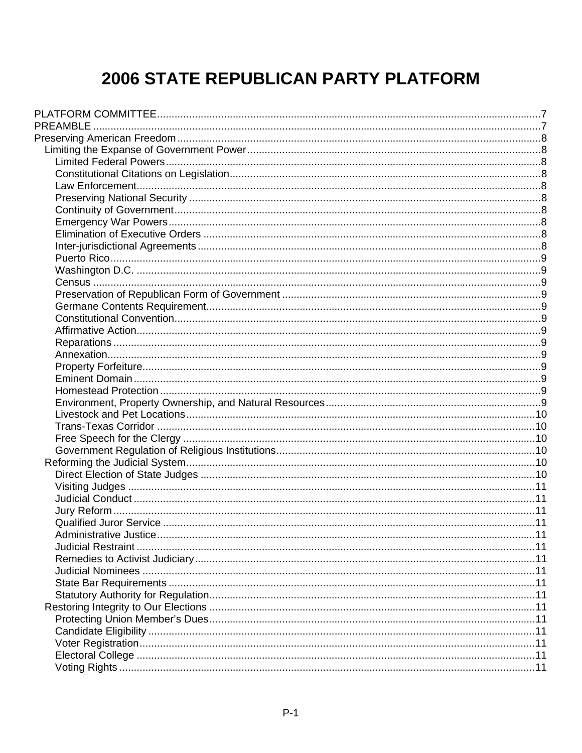# 2006 STATE REPUBLICAN PARTY PLATFORM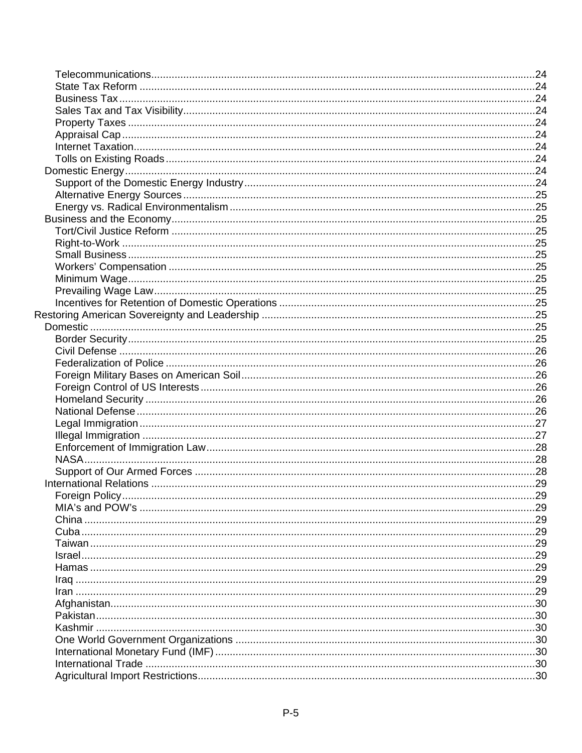| Foreign Policy | .29 |
|----------------|-----|
|                |     |
|                |     |
|                |     |
|                |     |
|                |     |
|                |     |
|                |     |
|                |     |
|                |     |
|                |     |
|                |     |
|                |     |
|                |     |
|                |     |
|                |     |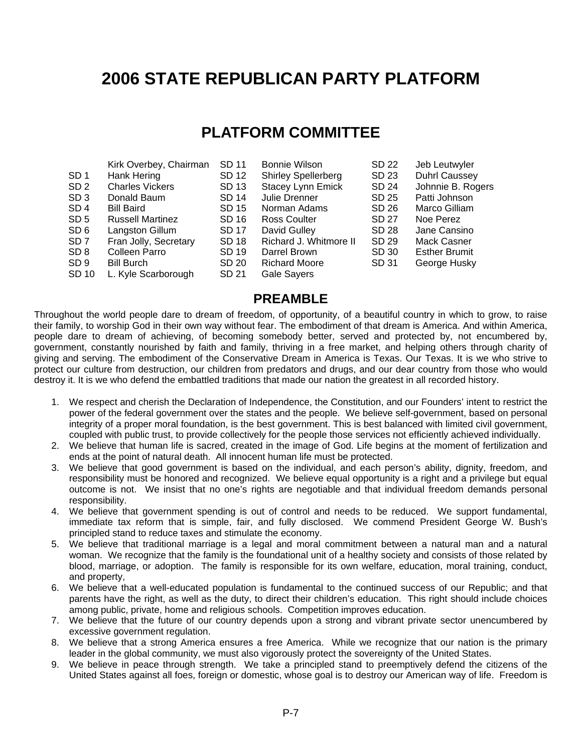# <span id="page-6-0"></span>**2006 STATE REPUBLICAN PARTY PLATFORM**

# **PLATFORM COMMITTEE**

|                 | Kirk Overbey, Chairman  | SD 11 | <b>Bonnie Wilson</b>       | SD 22 | Jeb Leutwyler        |
|-----------------|-------------------------|-------|----------------------------|-------|----------------------|
| SD <sub>1</sub> | Hank Hering             | SD 12 | <b>Shirley Spellerberg</b> | SD 23 | <b>Duhrl Caussey</b> |
| SD <sub>2</sub> | <b>Charles Vickers</b>  | SD 13 | <b>Stacey Lynn Emick</b>   | SD 24 | Johnnie B. Rogers    |
| SD <sub>3</sub> | Donald Baum             | SD 14 | Julie Drenner              | SD 25 | Patti Johnson        |
| SD <sub>4</sub> | <b>Bill Baird</b>       | SD 15 | Norman Adams               | SD 26 | Marco Gilliam        |
| SD <sub>5</sub> | <b>Russell Martinez</b> | SD 16 | Ross Coulter               | SD 27 | Noe Perez            |
| SD <sub>6</sub> | Langston Gillum         | SD 17 | David Gulley               | SD 28 | Jane Cansino         |
| SD <sub>7</sub> | Fran Jolly, Secretary   | SD 18 | Richard J. Whitmore II     | SD 29 | <b>Mack Casner</b>   |
| SD <sub>8</sub> | Colleen Parro           | SD 19 | Darrel Brown               | SD 30 | <b>Esther Brumit</b> |
| SD <sub>9</sub> | <b>Bill Burch</b>       | SD 20 | <b>Richard Moore</b>       | SD 31 | George Husky         |
| <b>SD 10</b>    | L. Kyle Scarborough     | SD 21 | <b>Gale Sayers</b>         |       |                      |

## **PREAMBLE**

Throughout the world people dare to dream of freedom, of opportunity, of a beautiful country in which to grow, to raise their family, to worship God in their own way without fear. The embodiment of that dream is America. And within America, people dare to dream of achieving, of becoming somebody better, served and protected by, not encumbered by, government, constantly nourished by faith and family, thriving in a free market, and helping others through charity of giving and serving. The embodiment of the Conservative Dream in America is Texas. Our Texas. It is we who strive to protect our culture from destruction, our children from predators and drugs, and our dear country from those who would destroy it. It is we who defend the embattled traditions that made our nation the greatest in all recorded history.

- 1. We respect and cherish the Declaration of Independence, the Constitution, and our Founders' intent to restrict the power of the federal government over the states and the people. We believe self-government, based on personal integrity of a proper moral foundation, is the best government. This is best balanced with limited civil government, coupled with public trust, to provide collectively for the people those services not efficiently achieved individually.
- 2. We believe that human life is sacred, created in the image of God. Life begins at the moment of fertilization and ends at the point of natural death. All innocent human life must be protected.
- 3. We believe that good government is based on the individual, and each person's ability, dignity, freedom, and responsibility must be honored and recognized. We believe equal opportunity is a right and a privilege but equal outcome is not. We insist that no one's rights are negotiable and that individual freedom demands personal responsibility.
- 4. We believe that government spending is out of control and needs to be reduced. We support fundamental, immediate tax reform that is simple, fair, and fully disclosed. We commend President George W. Bush's principled stand to reduce taxes and stimulate the economy.
- 5. We believe that traditional marriage is a legal and moral commitment between a natural man and a natural woman. We recognize that the family is the foundational unit of a healthy society and consists of those related by blood, marriage, or adoption. The family is responsible for its own welfare, education, moral training, conduct, and property,
- 6. We believe that a well-educated population is fundamental to the continued success of our Republic; and that parents have the right, as well as the duty, to direct their children's education. This right should include choices among public, private, home and religious schools. Competition improves education.
- 7. We believe that the future of our country depends upon a strong and vibrant private sector unencumbered by excessive government regulation.
- 8. We believe that a strong America ensures a free America. While we recognize that our nation is the primary leader in the global community, we must also vigorously protect the sovereignty of the United States.
- 9. We believe in peace through strength. We take a principled stand to preemptively defend the citizens of the United States against all foes, foreign or domestic, whose goal is to destroy our American way of life. Freedom is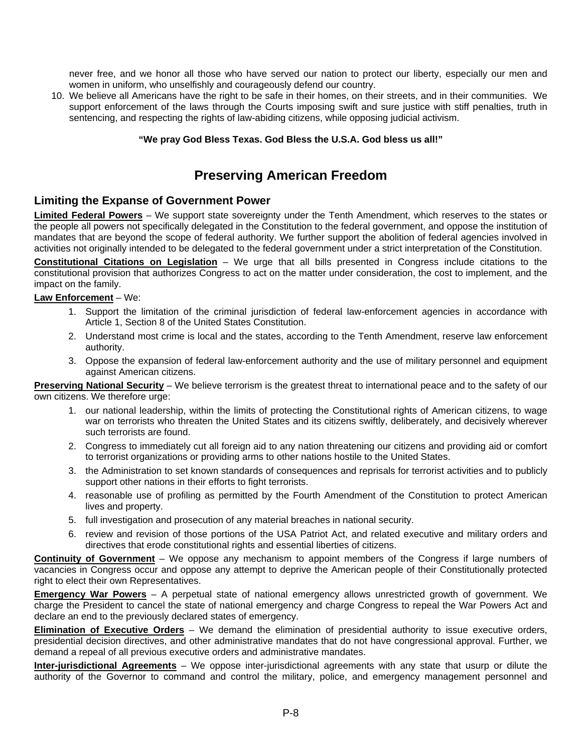<span id="page-7-0"></span>never free, and we honor all those who have served our nation to protect our liberty, especially our men and women in uniform, who unselfishly and courageously defend our country.

10. We believe all Americans have the right to be safe in their homes, on their streets, and in their communities. We support enforcement of the laws through the Courts imposing swift and sure justice with stiff penalties, truth in sentencing, and respecting the rights of law-abiding citizens, while opposing judicial activism.

#### **"We pray God Bless Texas. God Bless the U.S.A. God bless us all!"**

# **Preserving American Freedom**

#### **Limiting the Expanse of Government Power**

**Limited Federal Powers** – We support state sovereignty under the Tenth Amendment, which reserves to the states or the people all powers not specifically delegated in the Constitution to the federal government, and oppose the institution of mandates that are beyond the scope of federal authority. We further support the abolition of federal agencies involved in activities not originally intended to be delegated to the federal government under a strict interpretation of the Constitution.

**Constitutional Citations on Legislation** – We urge that all bills presented in Congress include citations to the constitutional provision that authorizes Congress to act on the matter under consideration, the cost to implement, and the impact on the family.

#### **Law Enforcement** – We:

- 1. Support the limitation of the criminal jurisdiction of federal law-enforcement agencies in accordance with Article 1, Section 8 of the United States Constitution.
- 2. Understand most crime is local and the states, according to the Tenth Amendment, reserve law enforcement authority.
- 3. Oppose the expansion of federal law-enforcement authority and the use of military personnel and equipment against American citizens.

**Preserving National Security** – We believe terrorism is the greatest threat to international peace and to the safety of our own citizens. We therefore urge:

- 1. our national leadership, within the limits of protecting the Constitutional rights of American citizens, to wage war on terrorists who threaten the United States and its citizens swiftly, deliberately, and decisively wherever such terrorists are found.
- 2. Congress to immediately cut all foreign aid to any nation threatening our citizens and providing aid or comfort to terrorist organizations or providing arms to other nations hostile to the United States.
- 3. the Administration to set known standards of consequences and reprisals for terrorist activities and to publicly support other nations in their efforts to fight terrorists.
- 4. reasonable use of profiling as permitted by the Fourth Amendment of the Constitution to protect American lives and property.
- 5. full investigation and prosecution of any material breaches in national security.
- 6. review and revision of those portions of the USA Patriot Act, and related executive and military orders and directives that erode constitutional rights and essential liberties of citizens.

**Continuity of Government** – We oppose any mechanism to appoint members of the Congress if large numbers of vacancies in Congress occur and oppose any attempt to deprive the American people of their Constitutionally protected right to elect their own Representatives.

**Emergency War Powers** – A perpetual state of national emergency allows unrestricted growth of government. We charge the President to cancel the state of national emergency and charge Congress to repeal the War Powers Act and declare an end to the previously declared states of emergency.

**Elimination of Executive Orders** – We demand the elimination of presidential authority to issue executive orders, presidential decision directives, and other administrative mandates that do not have congressional approval. Further, we demand a repeal of all previous executive orders and administrative mandates.

**Inter-jurisdictional Agreements** – We oppose inter-jurisdictional agreements with any state that usurp or dilute the authority of the Governor to command and control the military, police, and emergency management personnel and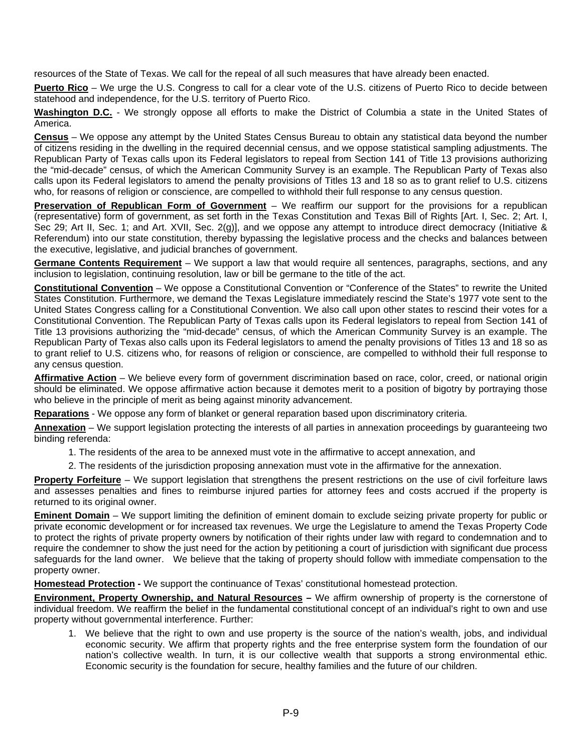<span id="page-8-0"></span>resources of the State of Texas. We call for the repeal of all such measures that have already been enacted.

**Puerto Rico** – We urge the U.S. Congress to call for a clear vote of the U.S. citizens of Puerto Rico to decide between statehood and independence, for the U.S. territory of Puerto Rico.

**Washington D.C.** - We strongly oppose all efforts to make the District of Columbia a state in the United States of America.

**Census** – We oppose any attempt by the United States Census Bureau to obtain any statistical data beyond the number of citizens residing in the dwelling in the required decennial census, and we oppose statistical sampling adjustments. The Republican Party of Texas calls upon its Federal legislators to repeal from Section 141 of Title 13 provisions authorizing the "mid-decade" census, of which the American Community Survey is an example. The Republican Party of Texas also calls upon its Federal legislators to amend the penalty provisions of Titles 13 and 18 so as to grant relief to U.S. citizens who, for reasons of religion or conscience, are compelled to withhold their full response to any census question.

**Preservation of Republican Form of Government** – We reaffirm our support for the provisions for a republican (representative) form of government, as set forth in the Texas Constitution and Texas Bill of Rights [Art. I, Sec. 2; Art. I, Sec 29; Art II, Sec. 1; and Art. XVII, Sec. 2(g)], and we oppose any attempt to introduce direct democracy (Initiative & Referendum) into our state constitution, thereby bypassing the legislative process and the checks and balances between the executive, legislative, and judicial branches of government.

**Germane Contents Requirement** – We support a law that would require all sentences, paragraphs, sections, and any inclusion to legislation, continuing resolution, law or bill be germane to the title of the act.

**Constitutional Convention** – We oppose a Constitutional Convention or "Conference of the States" to rewrite the United States Constitution. Furthermore, we demand the Texas Legislature immediately rescind the State's 1977 vote sent to the United States Congress calling for a Constitutional Convention. We also call upon other states to rescind their votes for a Constitutional Convention. The Republican Party of Texas calls upon its Federal legislators to repeal from Section 141 of Title 13 provisions authorizing the "mid-decade" census, of which the American Community Survey is an example. The Republican Party of Texas also calls upon its Federal legislators to amend the penalty provisions of Titles 13 and 18 so as to grant relief to U.S. citizens who, for reasons of religion or conscience, are compelled to withhold their full response to any census question.

**Affirmative Action** – We believe every form of government discrimination based on race, color, creed, or national origin should be eliminated. We oppose affirmative action because it demotes merit to a position of bigotry by portraying those who believe in the principle of merit as being against minority advancement.

**Reparations** - We oppose any form of blanket or general reparation based upon discriminatory criteria.

**Annexation** – We support legislation protecting the interests of all parties in annexation proceedings by guaranteeing two binding referenda:

1. The residents of the area to be annexed must vote in the affirmative to accept annexation, and

2. The residents of the jurisdiction proposing annexation must vote in the affirmative for the annexation.

**Property Forfeiture** – We support legislation that strengthens the present restrictions on the use of civil forfeiture laws and assesses penalties and fines to reimburse injured parties for attorney fees and costs accrued if the property is returned to its original owner.

**Eminent Domain** – We support limiting the definition of eminent domain to exclude seizing private property for public or private economic development or for increased tax revenues. We urge the Legislature to amend the Texas Property Code to protect the rights of private property owners by notification of their rights under law with regard to condemnation and to require the condemner to show the just need for the action by petitioning a court of jurisdiction with significant due process safeguards for the land owner. We believe that the taking of property should follow with immediate compensation to the property owner.

**Homestead Protection -** We support the continuance of Texas' constitutional homestead protection.

**Environment, Property Ownership, and Natural Resources –** We affirm ownership of property is the cornerstone of individual freedom. We reaffirm the belief in the fundamental constitutional concept of an individual's right to own and use property without governmental interference. Further:

1. We believe that the right to own and use property is the source of the nation's wealth, jobs, and individual economic security. We affirm that property rights and the free enterprise system form the foundation of our nation's collective wealth. In turn, it is our collective wealth that supports a strong environmental ethic. Economic security is the foundation for secure, healthy families and the future of our children.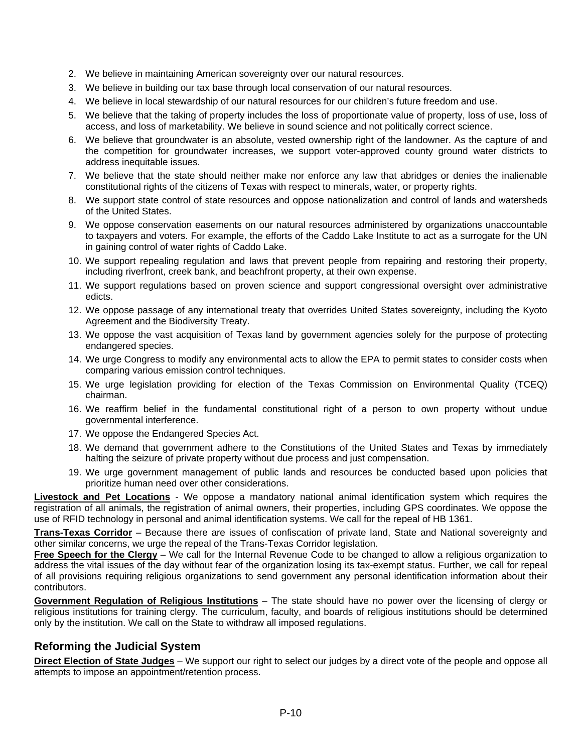- <span id="page-9-0"></span>2. We believe in maintaining American sovereignty over our natural resources.
- 3. We believe in building our tax base through local conservation of our natural resources.
- 4. We believe in local stewardship of our natural resources for our children's future freedom and use.
- 5. We believe that the taking of property includes the loss of proportionate value of property, loss of use, loss of access, and loss of marketability. We believe in sound science and not politically correct science.
- 6. We believe that groundwater is an absolute, vested ownership right of the landowner. As the capture of and the competition for groundwater increases, we support voter-approved county ground water districts to address inequitable issues.
- 7. We believe that the state should neither make nor enforce any law that abridges or denies the inalienable constitutional rights of the citizens of Texas with respect to minerals, water, or property rights.
- 8. We support state control of state resources and oppose nationalization and control of lands and watersheds of the United States.
- 9. We oppose conservation easements on our natural resources administered by organizations unaccountable to taxpayers and voters. For example, the efforts of the Caddo Lake Institute to act as a surrogate for the UN in gaining control of water rights of Caddo Lake.
- 10. We support repealing regulation and laws that prevent people from repairing and restoring their property, including riverfront, creek bank, and beachfront property, at their own expense.
- 11. We support regulations based on proven science and support congressional oversight over administrative edicts.
- 12. We oppose passage of any international treaty that overrides United States sovereignty, including the Kyoto Agreement and the Biodiversity Treaty.
- 13. We oppose the vast acquisition of Texas land by government agencies solely for the purpose of protecting endangered species.
- 14. We urge Congress to modify any environmental acts to allow the EPA to permit states to consider costs when comparing various emission control techniques.
- 15. We urge legislation providing for election of the Texas Commission on Environmental Quality (TCEQ) chairman.
- 16. We reaffirm belief in the fundamental constitutional right of a person to own property without undue governmental interference.
- 17. We oppose the Endangered Species Act.
- 18. We demand that government adhere to the Constitutions of the United States and Texas by immediately halting the seizure of private property without due process and just compensation.
- 19. We urge government management of public lands and resources be conducted based upon policies that prioritize human need over other considerations.

**Livestock and Pet Locations** - We oppose a mandatory national animal identification system which requires the registration of all animals, the registration of animal owners, their properties, including GPS coordinates. We oppose the use of RFID technology in personal and animal identification systems. We call for the repeal of HB 1361.

**Trans-Texas Corridor** – Because there are issues of confiscation of private land, State and National sovereignty and other similar concerns, we urge the repeal of the Trans-Texas Corridor legislation.

**Free Speech for the Clergy** – We call for the Internal Revenue Code to be changed to allow a religious organization to address the vital issues of the day without fear of the organization losing its tax-exempt status. Further, we call for repeal of all provisions requiring religious organizations to send government any personal identification information about their contributors.

**Government Regulation of Religious Institutions** – The state should have no power over the licensing of clergy or religious institutions for training clergy. The curriculum, faculty, and boards of religious institutions should be determined only by the institution. We call on the State to withdraw all imposed regulations.

### **Reforming the Judicial System**

**Direct Election of State Judges** – We support our right to select our judges by a direct vote of the people and oppose all attempts to impose an appointment/retention process.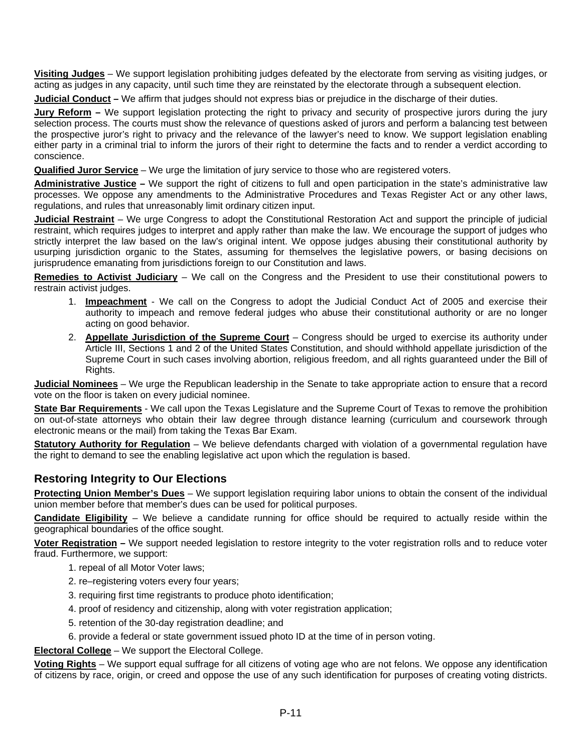<span id="page-10-0"></span>**Visiting Judges** – We support legislation prohibiting judges defeated by the electorate from serving as visiting judges, or acting as judges in any capacity, until such time they are reinstated by the electorate through a subsequent election.

**Judicial Conduct –** We affirm that judges should not express bias or prejudice in the discharge of their duties.

**Jury Reform –** We support legislation protecting the right to privacy and security of prospective jurors during the jury selection process. The courts must show the relevance of questions asked of jurors and perform a balancing test between the prospective juror's right to privacy and the relevance of the lawyer's need to know. We support legislation enabling either party in a criminal trial to inform the jurors of their right to determine the facts and to render a verdict according to conscience.

**Qualified Juror Service** – We urge the limitation of jury service to those who are registered voters.

**Administrative Justice –** We support the right of citizens to full and open participation in the state's administrative law processes. We oppose any amendments to the Administrative Procedures and Texas Register Act or any other laws, regulations, and rules that unreasonably limit ordinary citizen input.

**Judicial Restraint** – We urge Congress to adopt the Constitutional Restoration Act and support the principle of judicial restraint, which requires judges to interpret and apply rather than make the law. We encourage the support of judges who strictly interpret the law based on the law's original intent. We oppose judges abusing their constitutional authority by usurping jurisdiction organic to the States, assuming for themselves the legislative powers, or basing decisions on jurisprudence emanating from jurisdictions foreign to our Constitution and laws.

**Remedies to Activist Judiciary** – We call on the Congress and the President to use their constitutional powers to restrain activist judges.

- 1. **Impeachment** We call on the Congress to adopt the Judicial Conduct Act of 2005 and exercise their authority to impeach and remove federal judges who abuse their constitutional authority or are no longer acting on good behavior.
- 2. **Appellate Jurisdiction of the Supreme Court** Congress should be urged to exercise its authority under Article III, Sections 1 and 2 of the United States Constitution, and should withhold appellate jurisdiction of the Supreme Court in such cases involving abortion, religious freedom, and all rights guaranteed under the Bill of Rights.

**Judicial Nominees** – We urge the Republican leadership in the Senate to take appropriate action to ensure that a record vote on the floor is taken on every judicial nominee.

**State Bar Requirements** - We call upon the Texas Legislature and the Supreme Court of Texas to remove the prohibition on out-of-state attorneys who obtain their law degree through distance learning (curriculum and coursework through electronic means or the mail) from taking the Texas Bar Exam.

**Statutory Authority for Regulation** – We believe defendants charged with violation of a governmental regulation have the right to demand to see the enabling legislative act upon which the regulation is based.

### **Restoring Integrity to Our Elections**

**Protecting Union Member's Dues** – We support legislation requiring labor unions to obtain the consent of the individual union member before that member's dues can be used for political purposes.

**Candidate Eligibility** – We believe a candidate running for office should be required to actually reside within the geographical boundaries of the office sought.

**Voter Registration –** We support needed legislation to restore integrity to the voter registration rolls and to reduce voter fraud. Furthermore, we support:

- 1. repeal of all Motor Voter laws;
- 2. re–registering voters every four years;
- 3. requiring first time registrants to produce photo identification;
- 4. proof of residency and citizenship, along with voter registration application;
- 5. retention of the 30-day registration deadline; and
- 6. provide a federal or state government issued photo ID at the time of in person voting.

**Electoral College** – We support the Electoral College.

**Voting Rights** – We support equal suffrage for all citizens of voting age who are not felons. We oppose any identification of citizens by race, origin, or creed and oppose the use of any such identification for purposes of creating voting districts.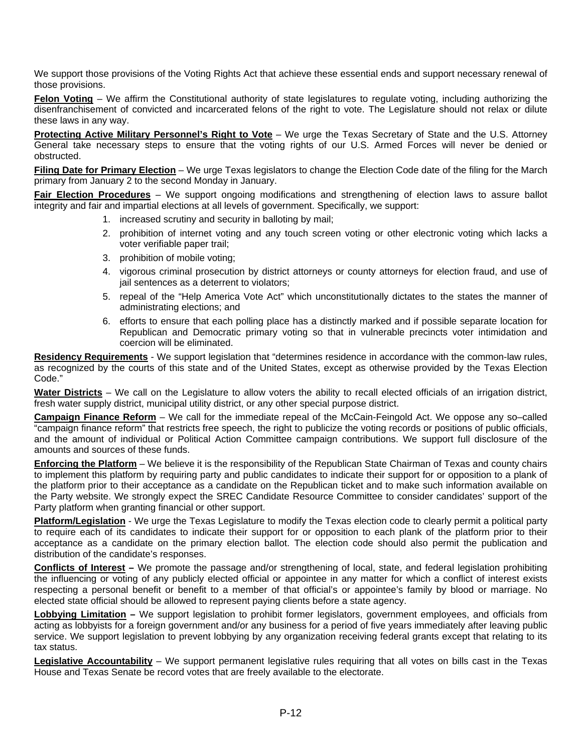<span id="page-11-0"></span>We support those provisions of the Voting Rights Act that achieve these essential ends and support necessary renewal of those provisions.

**Felon Voting** – We affirm the Constitutional authority of state legislatures to regulate voting, including authorizing the disenfranchisement of convicted and incarcerated felons of the right to vote. The Legislature should not relax or dilute these laws in any way.

**Protecting Active Military Personnel's Right to Vote** – We urge the Texas Secretary of State and the U.S. Attorney General take necessary steps to ensure that the voting rights of our U.S. Armed Forces will never be denied or obstructed.

**Filing Date for Primary Election** – We urge Texas legislators to change the Election Code date of the filing for the March primary from January 2 to the second Monday in January.

**Fair Election Procedures** – We support ongoing modifications and strengthening of election laws to assure ballot integrity and fair and impartial elections at all levels of government. Specifically, we support:

- 1. increased scrutiny and security in balloting by mail;
- 2. prohibition of internet voting and any touch screen voting or other electronic voting which lacks a voter verifiable paper trail;
- 3. prohibition of mobile voting;
- 4. vigorous criminal prosecution by district attorneys or county attorneys for election fraud, and use of jail sentences as a deterrent to violators;
- 5. repeal of the "Help America Vote Act" which unconstitutionally dictates to the states the manner of administrating elections; and
- 6. efforts to ensure that each polling place has a distinctly marked and if possible separate location for Republican and Democratic primary voting so that in vulnerable precincts voter intimidation and coercion will be eliminated.

**Residency Requirements** - We support legislation that "determines residence in accordance with the common-law rules, as recognized by the courts of this state and of the United States, except as otherwise provided by the Texas Election Code."

**Water Districts** – We call on the Legislature to allow voters the ability to recall elected officials of an irrigation district, fresh water supply district, municipal utility district, or any other special purpose district.

**Campaign Finance Reform** – We call for the immediate repeal of the McCain-Feingold Act. We oppose any so–called "campaign finance reform" that restricts free speech, the right to publicize the voting records or positions of public officials, and the amount of individual or Political Action Committee campaign contributions. We support full disclosure of the amounts and sources of these funds.

**Enforcing the Platform** – We believe it is the responsibility of the Republican State Chairman of Texas and county chairs to implement this platform by requiring party and public candidates to indicate their support for or opposition to a plank of the platform prior to their acceptance as a candidate on the Republican ticket and to make such information available on the Party website. We strongly expect the SREC Candidate Resource Committee to consider candidates' support of the Party platform when granting financial or other support.

**Platform/Legislation** - We urge the Texas Legislature to modify the Texas election code to clearly permit a political party to require each of its candidates to indicate their support for or opposition to each plank of the platform prior to their acceptance as a candidate on the primary election ballot. The election code should also permit the publication and distribution of the candidate's responses.

**Conflicts of Interest –** We promote the passage and/or strengthening of local, state, and federal legislation prohibiting the influencing or voting of any publicly elected official or appointee in any matter for which a conflict of interest exists respecting a personal benefit or benefit to a member of that official's or appointee's family by blood or marriage. No elected state official should be allowed to represent paying clients before a state agency.

**Lobbying Limitation –** We support legislation to prohibit former legislators, government employees, and officials from acting as lobbyists for a foreign government and/or any business for a period of five years immediately after leaving public service. We support legislation to prevent lobbying by any organization receiving federal grants except that relating to its tax status.

**Legislative Accountability** – We support permanent legislative rules requiring that all votes on bills cast in the Texas House and Texas Senate be record votes that are freely available to the electorate.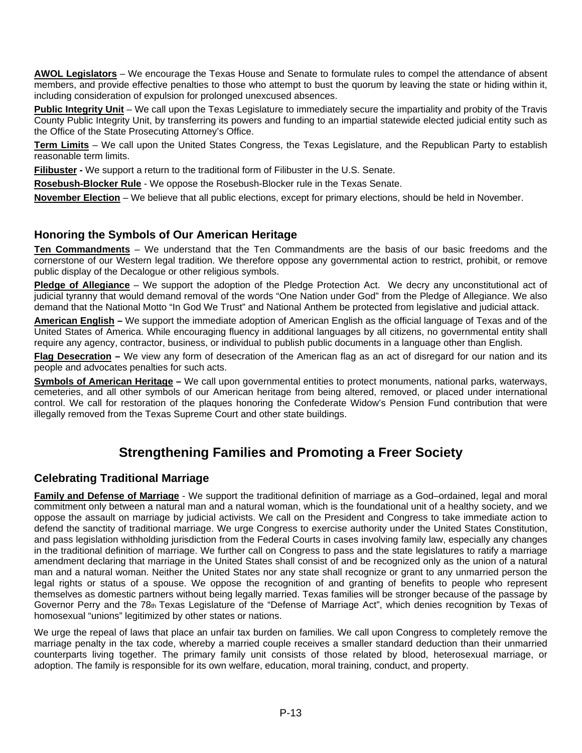<span id="page-12-0"></span>**AWOL Legislators** – We encourage the Texas House and Senate to formulate rules to compel the attendance of absent members, and provide effective penalties to those who attempt to bust the quorum by leaving the state or hiding within it, including consideration of expulsion for prolonged unexcused absences.

**Public Integrity Unit** – We call upon the Texas Legislature to immediately secure the impartiality and probity of the Travis County Public Integrity Unit, by transferring its powers and funding to an impartial statewide elected judicial entity such as the Office of the State Prosecuting Attorney's Office.

**Term Limits** – We call upon the United States Congress, the Texas Legislature, and the Republican Party to establish reasonable term limits.

**Filibuster -** We support a return to the traditional form of Filibuster in the U.S. Senate.

**Rosebush-Blocker Rule** - We oppose the Rosebush-Blocker rule in the Texas Senate.

**November Election** – We believe that all public elections, except for primary elections, should be held in November.

#### **Honoring the Symbols of Our American Heritage**

**Ten Commandments** – We understand that the Ten Commandments are the basis of our basic freedoms and the cornerstone of our Western legal tradition. We therefore oppose any governmental action to restrict, prohibit, or remove public display of the Decalogue or other religious symbols.

**Pledge of Allegiance** – We support the adoption of the Pledge Protection Act. We decry any unconstitutional act of judicial tyranny that would demand removal of the words "One Nation under God" from the Pledge of Allegiance. We also demand that the National Motto "In God We Trust" and National Anthem be protected from legislative and judicial attack.

**American English –** We support the immediate adoption of American English as the official language of Texas and of the United States of America. While encouraging fluency in additional languages by all citizens, no governmental entity shall require any agency, contractor, business, or individual to publish public documents in a language other than English.

**Flag Desecration –** We view any form of desecration of the American flag as an act of disregard for our nation and its people and advocates penalties for such acts.

**Symbols of American Heritage –** We call upon governmental entities to protect monuments, national parks, waterways, cemeteries, and all other symbols of our American heritage from being altered, removed, or placed under international control. We call for restoration of the plaques honoring the Confederate Widow's Pension Fund contribution that were illegally removed from the Texas Supreme Court and other state buildings.

## **Strengthening Families and Promoting a Freer Society**

### **Celebrating Traditional Marriage**

**Family and Defense of Marriage** - We support the traditional definition of marriage as a God–ordained, legal and moral commitment only between a natural man and a natural woman, which is the foundational unit of a healthy society, and we oppose the assault on marriage by judicial activists. We call on the President and Congress to take immediate action to defend the sanctity of traditional marriage. We urge Congress to exercise authority under the United States Constitution, and pass legislation withholding jurisdiction from the Federal Courts in cases involving family law, especially any changes in the traditional definition of marriage. We further call on Congress to pass and the state legislatures to ratify a marriage amendment declaring that marriage in the United States shall consist of and be recognized only as the union of a natural man and a natural woman. Neither the United States nor any state shall recognize or grant to any unmarried person the legal rights or status of a spouse. We oppose the recognition of and granting of benefits to people who represent themselves as domestic partners without being legally married. Texas families will be stronger because of the passage by Governor Perry and the 78th Texas Legislature of the "Defense of Marriage Act", which denies recognition by Texas of homosexual "unions" legitimized by other states or nations.

We urge the repeal of laws that place an unfair tax burden on families. We call upon Congress to completely remove the marriage penalty in the tax code, whereby a married couple receives a smaller standard deduction than their unmarried counterparts living together. The primary family unit consists of those related by blood, heterosexual marriage, or adoption. The family is responsible for its own welfare, education, moral training, conduct, and property.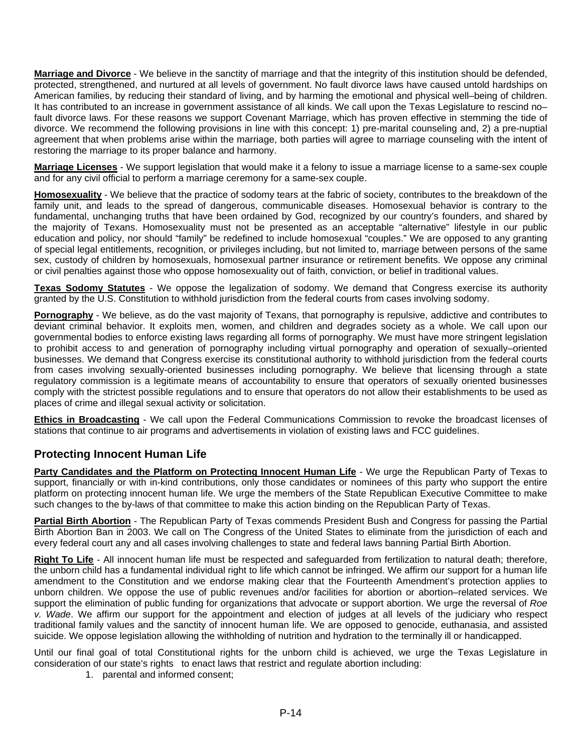<span id="page-13-0"></span>**Marriage and Divorce** - We believe in the sanctity of marriage and that the integrity of this institution should be defended, protected, strengthened, and nurtured at all levels of government. No fault divorce laws have caused untold hardships on American families, by reducing their standard of living, and by harming the emotional and physical well–being of children. It has contributed to an increase in government assistance of all kinds. We call upon the Texas Legislature to rescind no– fault divorce laws. For these reasons we support Covenant Marriage, which has proven effective in stemming the tide of divorce. We recommend the following provisions in line with this concept: 1) pre-marital counseling and, 2) a pre-nuptial agreement that when problems arise within the marriage, both parties will agree to marriage counseling with the intent of restoring the marriage to its proper balance and harmony.

**Marriage Licenses** - We support legislation that would make it a felony to issue a marriage license to a same-sex couple and for any civil official to perform a marriage ceremony for a same-sex couple.

**Homosexuality** - We believe that the practice of sodomy tears at the fabric of society, contributes to the breakdown of the family unit, and leads to the spread of dangerous, communicable diseases. Homosexual behavior is contrary to the fundamental, unchanging truths that have been ordained by God, recognized by our country's founders, and shared by the majority of Texans. Homosexuality must not be presented as an acceptable "alternative" lifestyle in our public education and policy, nor should "family" be redefined to include homosexual "couples." We are opposed to any granting of special legal entitlements, recognition, or privileges including, but not limited to, marriage between persons of the same sex, custody of children by homosexuals, homosexual partner insurance or retirement benefits. We oppose any criminal or civil penalties against those who oppose homosexuality out of faith, conviction, or belief in traditional values.

**Texas Sodomy Statutes** - We oppose the legalization of sodomy. We demand that Congress exercise its authority granted by the U.S. Constitution to withhold jurisdiction from the federal courts from cases involving sodomy.

**Pornography** - We believe, as do the vast majority of Texans, that pornography is repulsive, addictive and contributes to deviant criminal behavior. It exploits men, women, and children and degrades society as a whole. We call upon our governmental bodies to enforce existing laws regarding all forms of pornography. We must have more stringent legislation to prohibit access to and generation of pornography including virtual pornography and operation of sexually–oriented businesses. We demand that Congress exercise its constitutional authority to withhold jurisdiction from the federal courts from cases involving sexually-oriented businesses including pornography. We believe that licensing through a state regulatory commission is a legitimate means of accountability to ensure that operators of sexually oriented businesses comply with the strictest possible regulations and to ensure that operators do not allow their establishments to be used as places of crime and illegal sexual activity or solicitation.

**Ethics in Broadcasting** - We call upon the Federal Communications Commission to revoke the broadcast licenses of stations that continue to air programs and advertisements in violation of existing laws and FCC guidelines.

### **Protecting Innocent Human Life**

Party Candidates and the Platform on Protecting Innocent Human Life - We urge the Republican Party of Texas to support, financially or with in-kind contributions, only those candidates or nominees of this party who support the entire platform on protecting innocent human life. We urge the members of the State Republican Executive Committee to make such changes to the by-laws of that committee to make this action binding on the Republican Party of Texas.

**Partial Birth Abortion** - The Republican Party of Texas commends President Bush and Congress for passing the Partial Birth Abortion Ban in 2003. We call on The Congress of the United States to eliminate from the jurisdiction of each and every federal court any and all cases involving challenges to state and federal laws banning Partial Birth Abortion.

**Right To Life** - All innocent human life must be respected and safeguarded from fertilization to natural death; therefore, the unborn child has a fundamental individual right to life which cannot be infringed. We affirm our support for a human life amendment to the Constitution and we endorse making clear that the Fourteenth Amendment's protection applies to unborn children. We oppose the use of public revenues and/or facilities for abortion or abortion–related services. We support the elimination of public funding for organizations that advocate or support abortion. We urge the reversal of *Roe v. Wade*. We affirm our support for the appointment and election of judges at all levels of the judiciary who respect traditional family values and the sanctity of innocent human life. We are opposed to genocide, euthanasia, and assisted suicide. We oppose legislation allowing the withholding of nutrition and hydration to the terminally ill or handicapped.

Until our final goal of total Constitutional rights for the unborn child is achieved, we urge the Texas Legislature in consideration of our state's rights to enact laws that restrict and regulate abortion including:

1. parental and informed consent;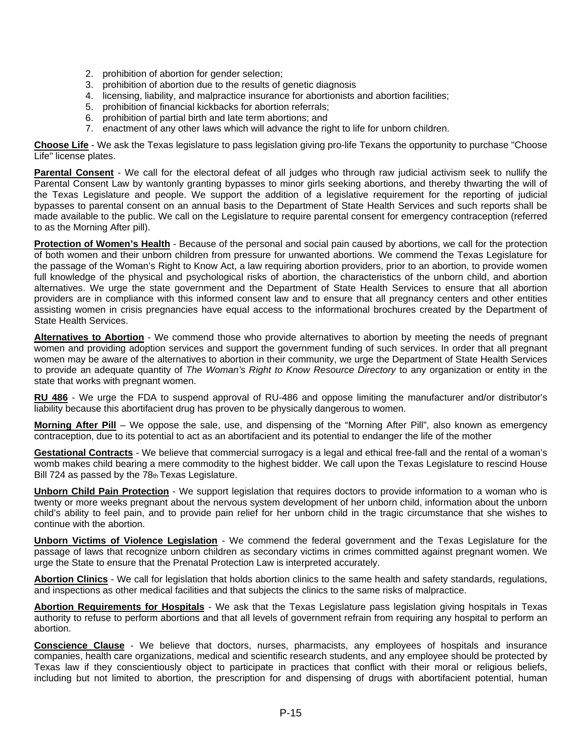- <span id="page-14-0"></span>2. prohibition of abortion for gender selection;
- 3. prohibition of abortion due to the results of genetic diagnosis
- 4. licensing, liability, and malpractice insurance for abortionists and abortion facilities;
- 5. prohibition of financial kickbacks for abortion referrals;
- 6. prohibition of partial birth and late term abortions; and
- 7. enactment of any other laws which will advance the right to life for unborn children.

**Choose Life** - We ask the Texas legislature to pass legislation giving pro-life Texans the opportunity to purchase "Choose Life" license plates.

**Parental Consent** - We call for the electoral defeat of all judges who through raw judicial activism seek to nullify the Parental Consent Law by wantonly granting bypasses to minor girls seeking abortions, and thereby thwarting the will of the Texas Legislature and people. We support the addition of a legislative requirement for the reporting of judicial bypasses to parental consent on an annual basis to the Department of State Health Services and such reports shall be made available to the public. We call on the Legislature to require parental consent for emergency contraception (referred to as the Morning After pill).

**Protection of Women's Health** - Because of the personal and social pain caused by abortions, we call for the protection of both women and their unborn children from pressure for unwanted abortions. We commend the Texas Legislature for the passage of the Woman's Right to Know Act, a law requiring abortion providers, prior to an abortion, to provide women full knowledge of the physical and psychological risks of abortion, the characteristics of the unborn child, and abortion alternatives. We urge the state government and the Department of State Health Services to ensure that all abortion providers are in compliance with this informed consent law and to ensure that all pregnancy centers and other entities assisting women in crisis pregnancies have equal access to the informational brochures created by the Department of State Health Services.

**Alternatives to Abortion** - We commend those who provide alternatives to abortion by meeting the needs of pregnant women and providing adoption services and support the government funding of such services. In order that all pregnant women may be aware of the alternatives to abortion in their community, we urge the Department of State Health Services to provide an adequate quantity of *The Woman's Right to Know Resource Directory* to any organization or entity in the state that works with pregnant women.

**RU 486** - We urge the FDA to suspend approval of RU-486 and oppose limiting the manufacturer and/or distributor's liability because this abortifacient drug has proven to be physically dangerous to women.

**Morning After Pill** – We oppose the sale, use, and dispensing of the "Morning After Pill", also known as emergency contraception, due to its potential to act as an abortifacient and its potential to endanger the life of the mother

**Gestational Contracts** - We believe that commercial surrogacy is a legal and ethical free-fall and the rental of a woman's womb makes child bearing a mere commodity to the highest bidder. We call upon the Texas Legislature to rescind House Bill 724 as passed by the 78th Texas Legislature.

**Unborn Child Pain Protection** - We support legislation that requires doctors to provide information to a woman who is twenty or more weeks pregnant about the nervous system development of her unborn child, information about the unborn child's ability to feel pain, and to provide pain relief for her unborn child in the tragic circumstance that she wishes to continue with the abortion.

**Unborn Victims of Violence Legislation** - We commend the federal government and the Texas Legislature for the passage of laws that recognize unborn children as secondary victims in crimes committed against pregnant women. We urge the State to ensure that the Prenatal Protection Law is interpreted accurately.

**Abortion Clinics** - We call for legislation that holds abortion clinics to the same health and safety standards, regulations, and inspections as other medical facilities and that subjects the clinics to the same risks of malpractice.

**Abortion Requirements for Hospitals** - We ask that the Texas Legislature pass legislation giving hospitals in Texas authority to refuse to perform abortions and that all levels of government refrain from requiring any hospital to perform an abortion.

**Conscience Clause** - We believe that doctors, nurses, pharmacists, any employees of hospitals and insurance companies, health care organizations, medical and scientific research students, and any employee should be protected by Texas law if they conscientiously object to participate in practices that conflict with their moral or religious beliefs, including but not limited to abortion, the prescription for and dispensing of drugs with abortifacient potential, human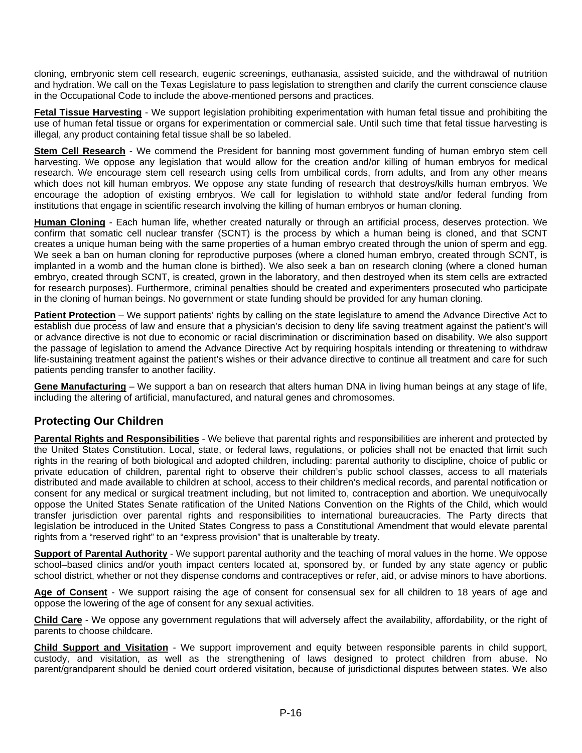<span id="page-15-0"></span>cloning, embryonic stem cell research, eugenic screenings, euthanasia, assisted suicide, and the withdrawal of nutrition and hydration. We call on the Texas Legislature to pass legislation to strengthen and clarify the current conscience clause in the Occupational Code to include the above-mentioned persons and practices.

**Fetal Tissue Harvesting** - We support legislation prohibiting experimentation with human fetal tissue and prohibiting the use of human fetal tissue or organs for experimentation or commercial sale. Until such time that fetal tissue harvesting is illegal, any product containing fetal tissue shall be so labeled.

**Stem Cell Research** - We commend the President for banning most government funding of human embryo stem cell harvesting. We oppose any legislation that would allow for the creation and/or killing of human embryos for medical research. We encourage stem cell research using cells from umbilical cords, from adults, and from any other means which does not kill human embryos. We oppose any state funding of research that destroys/kills human embryos. We encourage the adoption of existing embryos. We call for legislation to withhold state and/or federal funding from institutions that engage in scientific research involving the killing of human embryos or human cloning.

**Human Cloning** - Each human life, whether created naturally or through an artificial process, deserves protection. We confirm that somatic cell nuclear transfer (SCNT) is the process by which a human being is cloned, and that SCNT creates a unique human being with the same properties of a human embryo created through the union of sperm and egg. We seek a ban on human cloning for reproductive purposes (where a cloned human embryo, created through SCNT, is implanted in a womb and the human clone is birthed). We also seek a ban on research cloning (where a cloned human embryo, created through SCNT, is created, grown in the laboratory, and then destroyed when its stem cells are extracted for research purposes). Furthermore, criminal penalties should be created and experimenters prosecuted who participate in the cloning of human beings. No government or state funding should be provided for any human cloning.

**Patient Protection** – We support patients' rights by calling on the state legislature to amend the Advance Directive Act to establish due process of law and ensure that a physician's decision to deny life saving treatment against the patient's will or advance directive is not due to economic or racial discrimination or discrimination based on disability. We also support the passage of legislation to amend the Advance Directive Act by requiring hospitals intending or threatening to withdraw life-sustaining treatment against the patient's wishes or their advance directive to continue all treatment and care for such patients pending transfer to another facility.

**Gene Manufacturing** – We support a ban on research that alters human DNA in living human beings at any stage of life, including the altering of artificial, manufactured, and natural genes and chromosomes.

### **Protecting Our Children**

**Parental Rights and Responsibilities** - We believe that parental rights and responsibilities are inherent and protected by the United States Constitution. Local, state, or federal laws, regulations, or policies shall not be enacted that limit such rights in the rearing of both biological and adopted children, including: parental authority to discipline, choice of public or private education of children, parental right to observe their children's public school classes, access to all materials distributed and made available to children at school, access to their children's medical records, and parental notification or consent for any medical or surgical treatment including, but not limited to, contraception and abortion. We unequivocally oppose the United States Senate ratification of the United Nations Convention on the Rights of the Child, which would transfer jurisdiction over parental rights and responsibilities to international bureaucracies. The Party directs that legislation be introduced in the United States Congress to pass a Constitutional Amendment that would elevate parental rights from a "reserved right" to an "express provision" that is unalterable by treaty.

**Support of Parental Authority** - We support parental authority and the teaching of moral values in the home. We oppose school–based clinics and/or youth impact centers located at, sponsored by, or funded by any state agency or public school district, whether or not they dispense condoms and contraceptives or refer, aid, or advise minors to have abortions.

**Age of Consent** - We support raising the age of consent for consensual sex for all children to 18 years of age and oppose the lowering of the age of consent for any sexual activities.

**Child Care** - We oppose any government regulations that will adversely affect the availability, affordability, or the right of parents to choose childcare.

**Child Support and Visitation** - We support improvement and equity between responsible parents in child support, custody, and visitation, as well as the strengthening of laws designed to protect children from abuse. No parent/grandparent should be denied court ordered visitation, because of jurisdictional disputes between states. We also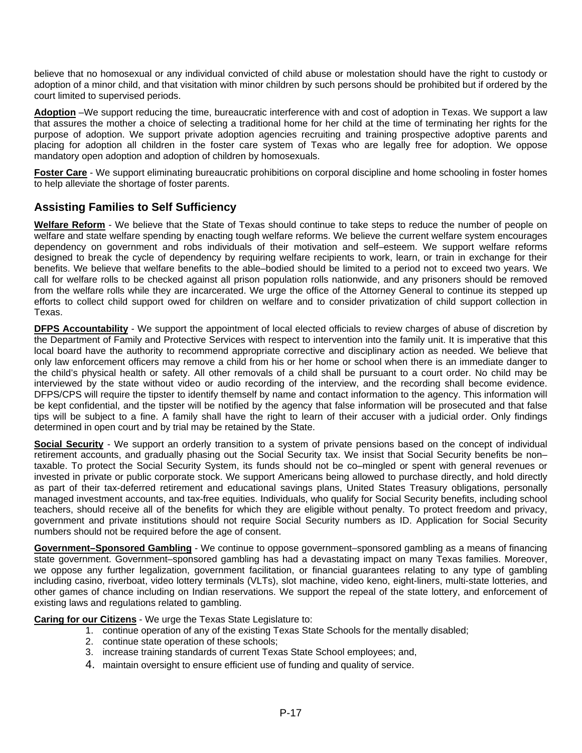<span id="page-16-0"></span>believe that no homosexual or any individual convicted of child abuse or molestation should have the right to custody or adoption of a minor child, and that visitation with minor children by such persons should be prohibited but if ordered by the court limited to supervised periods.

**Adoption** –We support reducing the time, bureaucratic interference with and cost of adoption in Texas. We support a law that assures the mother a choice of selecting a traditional home for her child at the time of terminating her rights for the purpose of adoption. We support private adoption agencies recruiting and training prospective adoptive parents and placing for adoption all children in the foster care system of Texas who are legally free for adoption. We oppose mandatory open adoption and adoption of children by homosexuals.

**Foster Care** - We support eliminating bureaucratic prohibitions on corporal discipline and home schooling in foster homes to help alleviate the shortage of foster parents.

## **Assisting Families to Self Sufficiency**

**Welfare Reform** - We believe that the State of Texas should continue to take steps to reduce the number of people on welfare and state welfare spending by enacting tough welfare reforms. We believe the current welfare system encourages dependency on government and robs individuals of their motivation and self–esteem. We support welfare reforms designed to break the cycle of dependency by requiring welfare recipients to work, learn, or train in exchange for their benefits. We believe that welfare benefits to the able–bodied should be limited to a period not to exceed two years. We call for welfare rolls to be checked against all prison population rolls nationwide, and any prisoners should be removed from the welfare rolls while they are incarcerated. We urge the office of the Attorney General to continue its stepped up efforts to collect child support owed for children on welfare and to consider privatization of child support collection in Texas.

**DFPS Accountability** - We support the appointment of local elected officials to review charges of abuse of discretion by the Department of Family and Protective Services with respect to intervention into the family unit. It is imperative that this local board have the authority to recommend appropriate corrective and disciplinary action as needed. We believe that only law enforcement officers may remove a child from his or her home or school when there is an immediate danger to the child's physical health or safety. All other removals of a child shall be pursuant to a court order. No child may be interviewed by the state without video or audio recording of the interview, and the recording shall become evidence. DFPS/CPS will require the tipster to identify themself by name and contact information to the agency. This information will be kept confidential, and the tipster will be notified by the agency that false information will be prosecuted and that false tips will be subject to a fine. A family shall have the right to learn of their accuser with a judicial order. Only findings determined in open court and by trial may be retained by the State.

**Social Security** - We support an orderly transition to a system of private pensions based on the concept of individual retirement accounts, and gradually phasing out the Social Security tax. We insist that Social Security benefits be non– taxable. To protect the Social Security System, its funds should not be co–mingled or spent with general revenues or invested in private or public corporate stock. We support Americans being allowed to purchase directly, and hold directly as part of their tax-deferred retirement and educational savings plans, United States Treasury obligations, personally managed investment accounts, and tax-free equities. Individuals, who qualify for Social Security benefits, including school teachers, should receive all of the benefits for which they are eligible without penalty. To protect freedom and privacy, government and private institutions should not require Social Security numbers as ID. Application for Social Security numbers should not be required before the age of consent.

**Government–Sponsored Gambling** - We continue to oppose government–sponsored gambling as a means of financing state government. Government–sponsored gambling has had a devastating impact on many Texas families. Moreover, we oppose any further legalization, government facilitation, or financial guarantees relating to any type of gambling including casino, riverboat, video lottery terminals (VLTs), slot machine, video keno, eight-liners, multi-state lotteries, and other games of chance including on Indian reservations. We support the repeal of the state lottery, and enforcement of existing laws and regulations related to gambling.

**Caring for our Citizens** - We urge the Texas State Legislature to:

- 1. continue operation of any of the existing Texas State Schools for the mentally disabled;
- 2. continue state operation of these schools;
- 3. increase training standards of current Texas State School employees; and,
- 4. maintain oversight to ensure efficient use of funding and quality of service.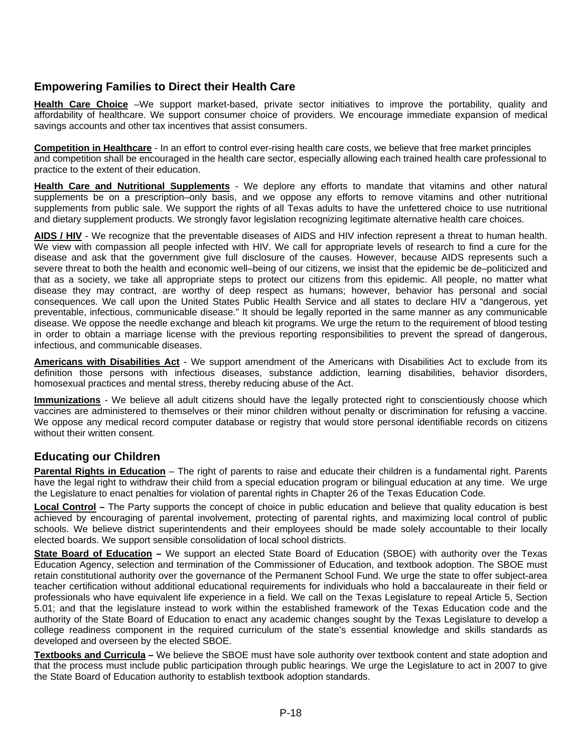## <span id="page-17-0"></span>**Empowering Families to Direct their Health Care**

**Health Care Choice** –We support market-based, private sector initiatives to improve the portability, quality and affordability of healthcare. We support consumer choice of providers. We encourage immediate expansion of medical savings accounts and other tax incentives that assist consumers.

**Competition in Healthcare** - In an effort to control ever-rising health care costs, we believe that free market principles and competition shall be encouraged in the health care sector, especially allowing each trained health care professional to practice to the extent of their education.

**Health Care and Nutritional Supplements** - We deplore any efforts to mandate that vitamins and other natural supplements be on a prescription–only basis, and we oppose any efforts to remove vitamins and other nutritional supplements from public sale. We support the rights of all Texas adults to have the unfettered choice to use nutritional and dietary supplement products. We strongly favor legislation recognizing legitimate alternative health care choices.

**AIDS / HIV** - We recognize that the preventable diseases of AIDS and HIV infection represent a threat to human health. We view with compassion all people infected with HIV. We call for appropriate levels of research to find a cure for the disease and ask that the government give full disclosure of the causes. However, because AIDS represents such a severe threat to both the health and economic well–being of our citizens, we insist that the epidemic be de–politicized and that as a society, we take all appropriate steps to protect our citizens from this epidemic. All people, no matter what disease they may contract, are worthy of deep respect as humans; however, behavior has personal and social consequences. We call upon the United States Public Health Service and all states to declare HIV a "dangerous, yet preventable, infectious, communicable disease." It should be legally reported in the same manner as any communicable disease. We oppose the needle exchange and bleach kit programs. We urge the return to the requirement of blood testing in order to obtain a marriage license with the previous reporting responsibilities to prevent the spread of dangerous, infectious, and communicable diseases.

**Americans with Disabilities Act** - We support amendment of the Americans with Disabilities Act to exclude from its definition those persons with infectious diseases, substance addiction, learning disabilities, behavior disorders, homosexual practices and mental stress, thereby reducing abuse of the Act.

**Immunizations** - We believe all adult citizens should have the legally protected right to conscientiously choose which vaccines are administered to themselves or their minor children without penalty or discrimination for refusing a vaccine. We oppose any medical record computer database or registry that would store personal identifiable records on citizens without their written consent.

### **Educating our Children**

**Parental Rights in Education** – The right of parents to raise and educate their children is a fundamental right. Parents have the legal right to withdraw their child from a special education program or bilingual education at any time. We urge the Legislature to enact penalties for violation of parental rights in Chapter 26 of the Texas Education Code.

**Local Control –** The Party supports the concept of choice in public education and believe that quality education is best achieved by encouraging of parental involvement, protecting of parental rights, and maximizing local control of public schools. We believe district superintendents and their employees should be made solely accountable to their locally elected boards. We support sensible consolidation of local school districts.

**State Board of Education –** We support an elected State Board of Education (SBOE) with authority over the Texas Education Agency, selection and termination of the Commissioner of Education, and textbook adoption. The SBOE must retain constitutional authority over the governance of the Permanent School Fund. We urge the state to offer subject-area teacher certification without additional educational requirements for individuals who hold a baccalaureate in their field or professionals who have equivalent life experience in a field. We call on the Texas Legislature to repeal Article 5, Section 5.01; and that the legislature instead to work within the established framework of the Texas Education code and the authority of the State Board of Education to enact any academic changes sought by the Texas Legislature to develop a college readiness component in the required curriculum of the state's essential knowledge and skills standards as developed and overseen by the elected SBOE.

**Textbooks and Curricula –** We believe the SBOE must have sole authority over textbook content and state adoption and that the process must include public participation through public hearings. We urge the Legislature to act in 2007 to give the State Board of Education authority to establish textbook adoption standards.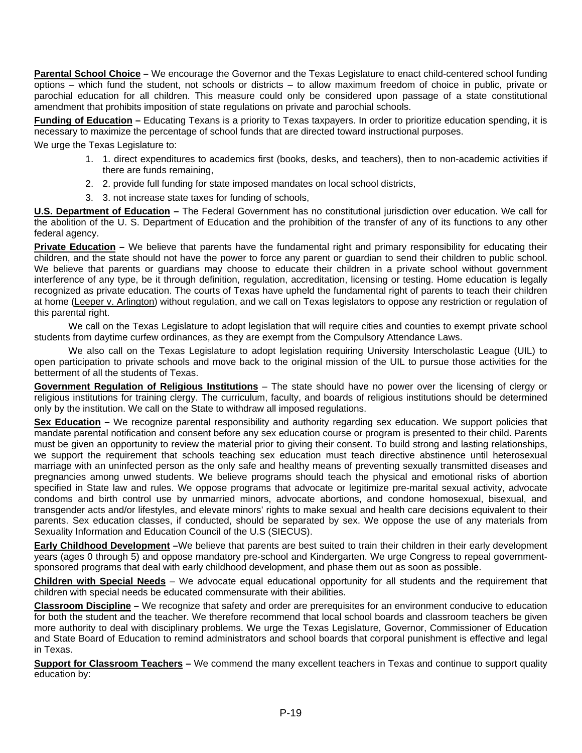<span id="page-18-0"></span>**Parental School Choice –** We encourage the Governor and the Texas Legislature to enact child-centered school funding options – which fund the student, not schools or districts – to allow maximum freedom of choice in public, private or parochial education for all children. This measure could only be considered upon passage of a state constitutional amendment that prohibits imposition of state regulations on private and parochial schools.

**Funding of Education –** Educating Texans is a priority to Texas taxpayers. In order to prioritize education spending, it is necessary to maximize the percentage of school funds that are directed toward instructional purposes.

We urge the Texas Legislature to:

- 1. 1. direct expenditures to academics first (books, desks, and teachers), then to non-academic activities if there are funds remaining,
- 2. 2. provide full funding for state imposed mandates on local school districts,
- 3. 3. not increase state taxes for funding of schools,

**U.S. Department of Education –** The Federal Government has no constitutional jurisdiction over education. We call for the abolition of the U. S. Department of Education and the prohibition of the transfer of any of its functions to any other federal agency.

**Private Education –** We believe that parents have the fundamental right and primary responsibility for educating their children, and the state should not have the power to force any parent or guardian to send their children to public school. We believe that parents or guardians may choose to educate their children in a private school without government interference of any type, be it through definition, regulation, accreditation, licensing or testing. Home education is legally recognized as private education. The courts of Texas have upheld the fundamental right of parents to teach their children at home (Leeper v. Arlington) without regulation, and we call on Texas legislators to oppose any restriction or regulation of this parental right.

We call on the Texas Legislature to adopt legislation that will require cities and counties to exempt private school students from daytime curfew ordinances, as they are exempt from the Compulsory Attendance Laws.

We also call on the Texas Legislature to adopt legislation requiring University Interscholastic League (UIL) to open participation to private schools and move back to the original mission of the UIL to pursue those activities for the betterment of all the students of Texas.

**Government Regulation of Religious Institutions** – The state should have no power over the licensing of clergy or religious institutions for training clergy. The curriculum, faculty, and boards of religious institutions should be determined only by the institution. We call on the State to withdraw all imposed regulations.

**Sex Education –** We recognize parental responsibility and authority regarding sex education. We support policies that mandate parental notification and consent before any sex education course or program is presented to their child. Parents must be given an opportunity to review the material prior to giving their consent. To build strong and lasting relationships, we support the requirement that schools teaching sex education must teach directive abstinence until heterosexual marriage with an uninfected person as the only safe and healthy means of preventing sexually transmitted diseases and pregnancies among unwed students. We believe programs should teach the physical and emotional risks of abortion specified in State law and rules. We oppose programs that advocate or legitimize pre-marital sexual activity, advocate condoms and birth control use by unmarried minors, advocate abortions, and condone homosexual, bisexual, and transgender acts and/or lifestyles, and elevate minors' rights to make sexual and health care decisions equivalent to their parents. Sex education classes, if conducted, should be separated by sex. We oppose the use of any materials from Sexuality Information and Education Council of the U.S (SIECUS).

**Early Childhood Development –**We believe that parents are best suited to train their children in their early development years (ages 0 through 5) and oppose mandatory pre-school and Kindergarten. We urge Congress to repeal governmentsponsored programs that deal with early childhood development, and phase them out as soon as possible.

**Children with Special Needs** – We advocate equal educational opportunity for all students and the requirement that children with special needs be educated commensurate with their abilities.

**Classroom Discipline –** We recognize that safety and order are prerequisites for an environment conducive to education for both the student and the teacher. We therefore recommend that local school boards and classroom teachers be given more authority to deal with disciplinary problems. We urge the Texas Legislature, Governor, Commissioner of Education and State Board of Education to remind administrators and school boards that corporal punishment is effective and legal in Texas.

**Support for Classroom Teachers –** We commend the many excellent teachers in Texas and continue to support quality education by: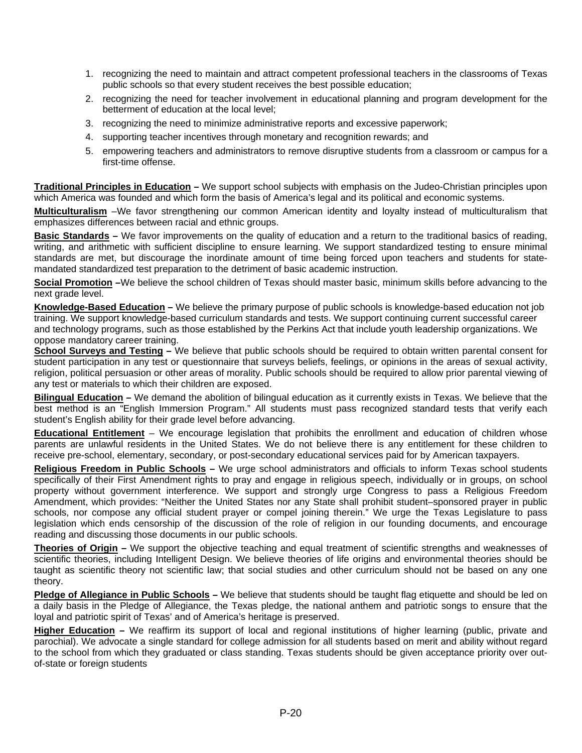- <span id="page-19-0"></span>1. recognizing the need to maintain and attract competent professional teachers in the classrooms of Texas public schools so that every student receives the best possible education;
- 2. recognizing the need for teacher involvement in educational planning and program development for the betterment of education at the local level;
- 3. recognizing the need to minimize administrative reports and excessive paperwork;
- 4. supporting teacher incentives through monetary and recognition rewards; and
- 5. empowering teachers and administrators to remove disruptive students from a classroom or campus for a first-time offense.

**Traditional Principles in Education –** We support school subjects with emphasis on the Judeo-Christian principles upon which America was founded and which form the basis of America's legal and its political and economic systems.

**Multiculturalism** –We favor strengthening our common American identity and loyalty instead of multiculturalism that emphasizes differences between racial and ethnic groups.

**Basic Standards –** We favor improvements on the quality of education and a return to the traditional basics of reading, writing, and arithmetic with sufficient discipline to ensure learning. We support standardized testing to ensure minimal standards are met, but discourage the inordinate amount of time being forced upon teachers and students for statemandated standardized test preparation to the detriment of basic academic instruction.

**Social Promotion –**We believe the school children of Texas should master basic, minimum skills before advancing to the next grade level.

**Knowledge-Based Education –** We believe the primary purpose of public schools is knowledge-based education not job training. We support knowledge-based curriculum standards and tests. We support continuing current successful career and technology programs, such as those established by the Perkins Act that include youth leadership organizations. We oppose mandatory career training.

**School Surveys and Testing –** We believe that public schools should be required to obtain written parental consent for student participation in any test or questionnaire that surveys beliefs, feelings, or opinions in the areas of sexual activity, religion, political persuasion or other areas of morality. Public schools should be required to allow prior parental viewing of any test or materials to which their children are exposed.

**Bilingual Education –** We demand the abolition of bilingual education as it currently exists in Texas. We believe that the best method is an "English Immersion Program." All students must pass recognized standard tests that verify each student's English ability for their grade level before advancing.

**Educational Entitlement** – We encourage legislation that prohibits the enrollment and education of children whose parents are unlawful residents in the United States. We do not believe there is any entitlement for these children to receive pre-school, elementary, secondary, or post-secondary educational services paid for by American taxpayers.

**Religious Freedom in Public Schools –** We urge school administrators and officials to inform Texas school students specifically of their First Amendment rights to pray and engage in religious speech, individually or in groups, on school property without government interference. We support and strongly urge Congress to pass a Religious Freedom Amendment, which provides: "Neither the United States nor any State shall prohibit student–sponsored prayer in public schools, nor compose any official student prayer or compel joining therein." We urge the Texas Legislature to pass legislation which ends censorship of the discussion of the role of religion in our founding documents, and encourage reading and discussing those documents in our public schools.

**Theories of Origin –** We support the objective teaching and equal treatment of scientific strengths and weaknesses of scientific theories, including Intelligent Design. We believe theories of life origins and environmental theories should be taught as scientific theory not scientific law; that social studies and other curriculum should not be based on any one theory.

Pledge of Allegiance in Public Schools – We believe that students should be taught flag etiquette and should be led on a daily basis in the Pledge of Allegiance, the Texas pledge, the national anthem and patriotic songs to ensure that the loyal and patriotic spirit of Texas' and of America's heritage is preserved.

**Higher Education –** We reaffirm its support of local and regional institutions of higher learning (public, private and parochial). We advocate a single standard for college admission for all students based on merit and ability without regard to the school from which they graduated or class standing. Texas students should be given acceptance priority over outof-state or foreign students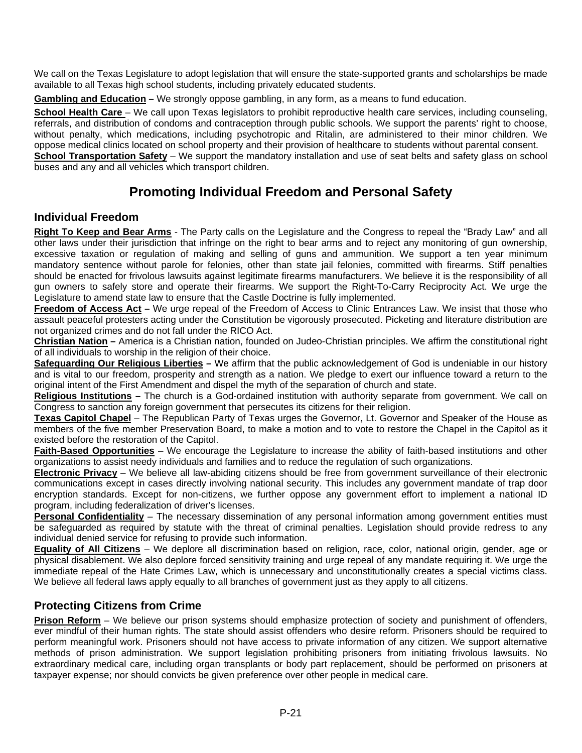<span id="page-20-0"></span>We call on the Texas Legislature to adopt legislation that will ensure the state-supported grants and scholarships be made available to all Texas high school students, including privately educated students.

**Gambling and Education –** We strongly oppose gambling, in any form, as a means to fund education.

**School Health Care** – We call upon Texas legislators to prohibit reproductive health care services, including counseling, referrals, and distribution of condoms and contraception through public schools. We support the parents' right to choose, without penalty, which medications, including psychotropic and Ritalin, are administered to their minor children. We oppose medical clinics located on school property and their provision of healthcare to students without parental consent. **School Transportation Safety** – We support the mandatory installation and use of seat belts and safety glass on school buses and any and all vehicles which transport children.

# **Promoting Individual Freedom and Personal Safety**

### **Individual Freedom**

**Right To Keep and Bear Arms** - The Party calls on the Legislature and the Congress to repeal the "Brady Law" and all other laws under their jurisdiction that infringe on the right to bear arms and to reject any monitoring of gun ownership, excessive taxation or regulation of making and selling of guns and ammunition. We support a ten year minimum mandatory sentence without parole for felonies, other than state jail felonies, committed with firearms. Stiff penalties should be enacted for frivolous lawsuits against legitimate firearms manufacturers. We believe it is the responsibility of all gun owners to safely store and operate their firearms. We support the Right-To-Carry Reciprocity Act. We urge the Legislature to amend state law to ensure that the Castle Doctrine is fully implemented.

**Freedom of Access Act –** We urge repeal of the Freedom of Access to Clinic Entrances Law. We insist that those who assault peaceful protesters acting under the Constitution be vigorously prosecuted. Picketing and literature distribution are not organized crimes and do not fall under the RICO Act.

**Christian Nation –** America is a Christian nation, founded on Judeo-Christian principles. We affirm the constitutional right of all individuals to worship in the religion of their choice.

**Safeguarding Our Religious Liberties –** We affirm that the public acknowledgement of God is undeniable in our history and is vital to our freedom, prosperity and strength as a nation. We pledge to exert our influence toward a return to the original intent of the First Amendment and dispel the myth of the separation of church and state.

**Religious Institutions –** The church is a God-ordained institution with authority separate from government. We call on Congress to sanction any foreign government that persecutes its citizens for their religion.

**Texas Capitol Chapel** – The Republican Party of Texas urges the Governor, Lt. Governor and Speaker of the House as members of the five member Preservation Board, to make a motion and to vote to restore the Chapel in the Capitol as it existed before the restoration of the Capitol.

**Faith-Based Opportunities** – We encourage the Legislature to increase the ability of faith-based institutions and other organizations to assist needy individuals and families and to reduce the regulation of such organizations.

**Electronic Privacy** – We believe all law-abiding citizens should be free from government surveillance of their electronic communications except in cases directly involving national security. This includes any government mandate of trap door encryption standards. Except for non-citizens, we further oppose any government effort to implement a national ID program, including federalization of driver's licenses.

**Personal Confidentiality** – The necessary dissemination of any personal information among government entities must be safeguarded as required by statute with the threat of criminal penalties. Legislation should provide redress to any individual denied service for refusing to provide such information.

**Equality of All Citizens** – We deplore all discrimination based on religion, race, color, national origin, gender, age or physical disablement. We also deplore forced sensitivity training and urge repeal of any mandate requiring it. We urge the immediate repeal of the Hate Crimes Law, which is unnecessary and unconstitutionally creates a special victims class. We believe all federal laws apply equally to all branches of government just as they apply to all citizens.

## **Protecting Citizens from Crime**

**Prison Reform** – We believe our prison systems should emphasize protection of society and punishment of offenders, ever mindful of their human rights. The state should assist offenders who desire reform. Prisoners should be required to perform meaningful work. Prisoners should not have access to private information of any citizen. We support alternative methods of prison administration. We support legislation prohibiting prisoners from initiating frivolous lawsuits. No extraordinary medical care, including organ transplants or body part replacement, should be performed on prisoners at taxpayer expense; nor should convicts be given preference over other people in medical care.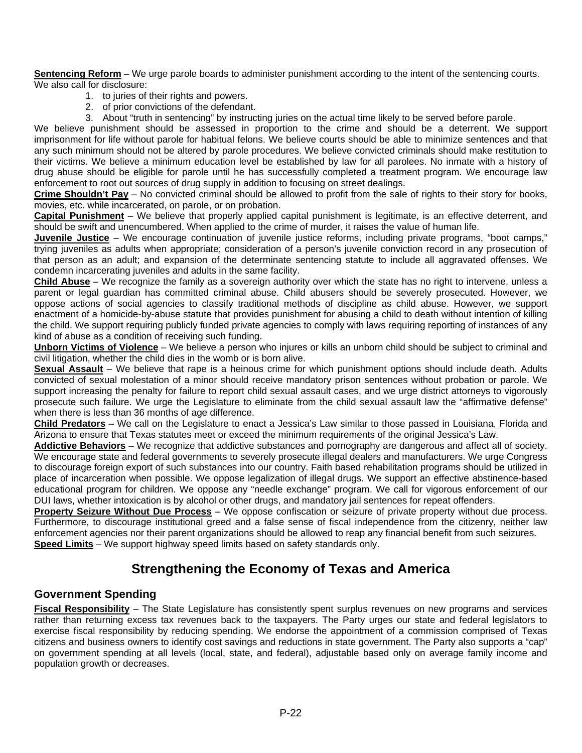<span id="page-21-0"></span>**Sentencing Reform** – We urge parole boards to administer punishment according to the intent of the sentencing courts. We also call for disclosure:

- 1. to juries of their rights and powers.
- 2. of prior convictions of the defendant.
- 3. About "truth in sentencing" by instructing juries on the actual time likely to be served before parole.

We believe punishment should be assessed in proportion to the crime and should be a deterrent. We support imprisonment for life without parole for habitual felons. We believe courts should be able to minimize sentences and that any such minimum should not be altered by parole procedures. We believe convicted criminals should make restitution to their victims. We believe a minimum education level be established by law for all parolees. No inmate with a history of drug abuse should be eligible for parole until he has successfully completed a treatment program. We encourage law enforcement to root out sources of drug supply in addition to focusing on street dealings.

**Crime Shouldn't Pay** – No convicted criminal should be allowed to profit from the sale of rights to their story for books, movies, etc. while incarcerated, on parole, or on probation.

**Capital Punishment** – We believe that properly applied capital punishment is legitimate, is an effective deterrent, and should be swift and unencumbered. When applied to the crime of murder, it raises the value of human life.

**Juvenile Justice** – We encourage continuation of juvenile justice reforms, including private programs, "boot camps," trying juveniles as adults when appropriate; consideration of a person's juvenile conviction record in any prosecution of that person as an adult; and expansion of the determinate sentencing statute to include all aggravated offenses. We condemn incarcerating juveniles and adults in the same facility.

**Child Abuse** – We recognize the family as a sovereign authority over which the state has no right to intervene, unless a parent or legal guardian has committed criminal abuse. Child abusers should be severely prosecuted. However, we oppose actions of social agencies to classify traditional methods of discipline as child abuse. However, we support enactment of a homicide-by-abuse statute that provides punishment for abusing a child to death without intention of killing the child. We support requiring publicly funded private agencies to comply with laws requiring reporting of instances of any kind of abuse as a condition of receiving such funding.

**Unborn Victims of Violence** – We believe a person who injures or kills an unborn child should be subject to criminal and civil litigation, whether the child dies in the womb or is born alive.

**Sexual Assault** – We believe that rape is a heinous crime for which punishment options should include death. Adults convicted of sexual molestation of a minor should receive mandatory prison sentences without probation or parole. We support increasing the penalty for failure to report child sexual assault cases, and we urge district attorneys to vigorously prosecute such failure. We urge the Legislature to eliminate from the child sexual assault law the "affirmative defense" when there is less than 36 months of age difference.

**Child Predators** – We call on the Legislature to enact a Jessica's Law similar to those passed in Louisiana, Florida and Arizona to ensure that Texas statutes meet or exceed the minimum requirements of the original Jessica's Law.

**Addictive Behaviors** – We recognize that addictive substances and pornography are dangerous and affect all of society. We encourage state and federal governments to severely prosecute illegal dealers and manufacturers. We urge Congress to discourage foreign export of such substances into our country. Faith based rehabilitation programs should be utilized in place of incarceration when possible. We oppose legalization of illegal drugs. We support an effective abstinence-based educational program for children. We oppose any "needle exchange" program. We call for vigorous enforcement of our DUI laws, whether intoxication is by alcohol or other drugs, and mandatory jail sentences for repeat offenders.

**Property Seizure Without Due Process** – We oppose confiscation or seizure of private property without due process. Furthermore, to discourage institutional greed and a false sense of fiscal independence from the citizenry, neither law enforcement agencies nor their parent organizations should be allowed to reap any financial benefit from such seizures. **Speed Limits** – We support highway speed limits based on safety standards only.

## **Strengthening the Economy of Texas and America**

#### **Government Spending**

**Fiscal Responsibility** – The State Legislature has consistently spent surplus revenues on new programs and services rather than returning excess tax revenues back to the taxpayers. The Party urges our state and federal legislators to exercise fiscal responsibility by reducing spending. We endorse the appointment of a commission comprised of Texas citizens and business owners to identify cost savings and reductions in state government. The Party also supports a "cap" on government spending at all levels (local, state, and federal), adjustable based only on average family income and population growth or decreases.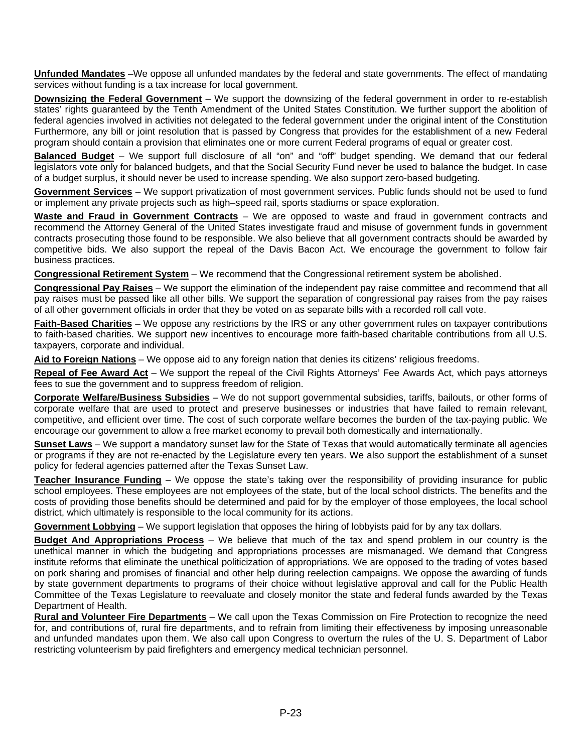<span id="page-22-0"></span>**Unfunded Mandates** –We oppose all unfunded mandates by the federal and state governments. The effect of mandating services without funding is a tax increase for local government.

**Downsizing the Federal Government** – We support the downsizing of the federal government in order to re-establish states' rights guaranteed by the Tenth Amendment of the United States Constitution. We further support the abolition of federal agencies involved in activities not delegated to the federal government under the original intent of the Constitution Furthermore, any bill or joint resolution that is passed by Congress that provides for the establishment of a new Federal program should contain a provision that eliminates one or more current Federal programs of equal or greater cost.

**Balanced Budget** – We support full disclosure of all "on" and "off" budget spending. We demand that our federal legislators vote only for balanced budgets, and that the Social Security Fund never be used to balance the budget. In case of a budget surplus, it should never be used to increase spending. We also support zero-based budgeting.

**Government Services** – We support privatization of most government services. Public funds should not be used to fund or implement any private projects such as high–speed rail, sports stadiums or space exploration.

Waste and Fraud in Government Contracts – We are opposed to waste and fraud in government contracts and recommend the Attorney General of the United States investigate fraud and misuse of government funds in government contracts prosecuting those found to be responsible. We also believe that all government contracts should be awarded by competitive bids. We also support the repeal of the Davis Bacon Act. We encourage the government to follow fair business practices.

**Congressional Retirement System** – We recommend that the Congressional retirement system be abolished.

**Congressional Pay Raises** – We support the elimination of the independent pay raise committee and recommend that all pay raises must be passed like all other bills. We support the separation of congressional pay raises from the pay raises of all other government officials in order that they be voted on as separate bills with a recorded roll call vote.

**Faith-Based Charities** – We oppose any restrictions by the IRS or any other government rules on taxpayer contributions to faith-based charities. We support new incentives to encourage more faith-based charitable contributions from all U.S. taxpayers, corporate and individual.

**Aid to Foreign Nations** – We oppose aid to any foreign nation that denies its citizens' religious freedoms.

**Repeal of Fee Award Act** – We support the repeal of the Civil Rights Attorneys' Fee Awards Act, which pays attorneys fees to sue the government and to suppress freedom of religion.

**Corporate Welfare/Business Subsidies** – We do not support governmental subsidies, tariffs, bailouts, or other forms of corporate welfare that are used to protect and preserve businesses or industries that have failed to remain relevant, competitive, and efficient over time. The cost of such corporate welfare becomes the burden of the tax-paying public. We encourage our government to allow a free market economy to prevail both domestically and internationally.

**Sunset Laws** – We support a mandatory sunset law for the State of Texas that would automatically terminate all agencies or programs if they are not re-enacted by the Legislature every ten years. We also support the establishment of a sunset policy for federal agencies patterned after the Texas Sunset Law.

**Teacher Insurance Funding** – We oppose the state's taking over the responsibility of providing insurance for public school employees. These employees are not employees of the state, but of the local school districts. The benefits and the costs of providing those benefits should be determined and paid for by the employer of those employees, the local school district, which ultimately is responsible to the local community for its actions.

**Government Lobbying** – We support legislation that opposes the hiring of lobbyists paid for by any tax dollars.

**Budget And Appropriations Process** – We believe that much of the tax and spend problem in our country is the unethical manner in which the budgeting and appropriations processes are mismanaged. We demand that Congress institute reforms that eliminate the unethical politicization of appropriations. We are opposed to the trading of votes based on pork sharing and promises of financial and other help during reelection campaigns. We oppose the awarding of funds by state government departments to programs of their choice without legislative approval and call for the Public Health Committee of the Texas Legislature to reevaluate and closely monitor the state and federal funds awarded by the Texas Department of Health.

**Rural and Volunteer Fire Departments** – We call upon the Texas Commission on Fire Protection to recognize the need for, and contributions of, rural fire departments, and to refrain from limiting their effectiveness by imposing unreasonable and unfunded mandates upon them. We also call upon Congress to overturn the rules of the U. S. Department of Labor restricting volunteerism by paid firefighters and emergency medical technician personnel.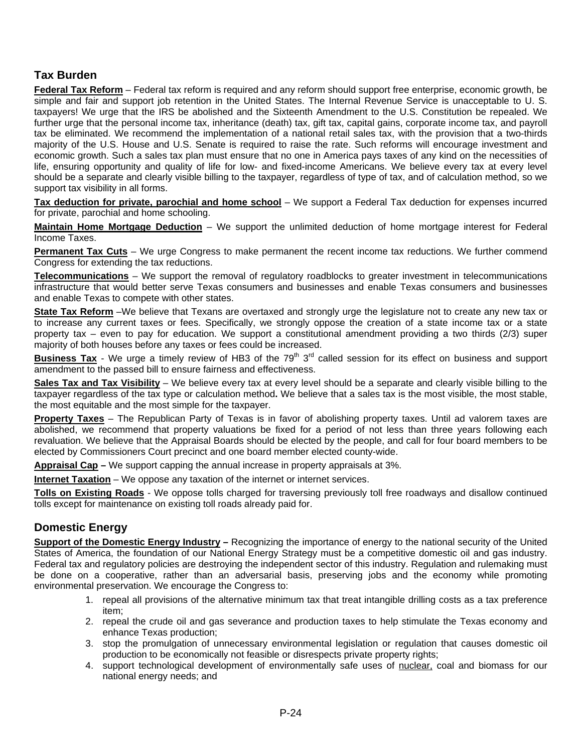### <span id="page-23-0"></span>**Tax Burden**

**Federal Tax Reform** – Federal tax reform is required and any reform should support free enterprise, economic growth, be simple and fair and support job retention in the United States. The Internal Revenue Service is unacceptable to U. S. taxpayers! We urge that the IRS be abolished and the Sixteenth Amendment to the U.S. Constitution be repealed. We further urge that the personal income tax, inheritance (death) tax, gift tax, capital gains, corporate income tax, and payroll tax be eliminated. We recommend the implementation of a national retail sales tax, with the provision that a two-thirds majority of the U.S. House and U.S. Senate is required to raise the rate. Such reforms will encourage investment and economic growth. Such a sales tax plan must ensure that no one in America pays taxes of any kind on the necessities of life, ensuring opportunity and quality of life for low- and fixed-income Americans. We believe every tax at every level should be a separate and clearly visible billing to the taxpayer, regardless of type of tax, and of calculation method, so we support tax visibility in all forms.

**Tax deduction for private, parochial and home school** – We support a Federal Tax deduction for expenses incurred for private, parochial and home schooling.

**Maintain Home Mortgage Deduction** – We support the unlimited deduction of home mortgage interest for Federal Income Taxes.

**Permanent Tax Cuts** – We urge Congress to make permanent the recent income tax reductions. We further commend Congress for extending the tax reductions.

**Telecommunications** – We support the removal of regulatory roadblocks to greater investment in telecommunications infrastructure that would better serve Texas consumers and businesses and enable Texas consumers and businesses and enable Texas to compete with other states.

**State Tax Reform** –We believe that Texans are overtaxed and strongly urge the legislature not to create any new tax or to increase any current taxes or fees. Specifically, we strongly oppose the creation of a state income tax or a state property tax – even to pay for education. We support a constitutional amendment providing a two thirds (2/3) super majority of both houses before any taxes or fees could be increased.

**Business Tax** - We urge a timely review of HB3 of the 79<sup>th</sup> 3<sup>rd</sup> called session for its effect on business and support amendment to the passed bill to ensure fairness and effectiveness.

**Sales Tax and Tax Visibility** – We believe every tax at every level should be a separate and clearly visible billing to the taxpayer regardless of the tax type or calculation method**.** We believe that a sales tax is the most visible, the most stable, the most equitable and the most simple for the taxpayer.

**Property Taxes** – The Republican Party of Texas is in favor of abolishing property taxes. Until ad valorem taxes are abolished, we recommend that property valuations be fixed for a period of not less than three years following each revaluation. We believe that the Appraisal Boards should be elected by the people, and call for four board members to be elected by Commissioners Court precinct and one board member elected county-wide.

**Appraisal Cap –** We support capping the annual increase in property appraisals at 3%.

**Internet Taxation** – We oppose any taxation of the internet or internet services.

**Tolls on Existing Roads** - We oppose tolls charged for traversing previously toll free roadways and disallow continued tolls except for maintenance on existing toll roads already paid for.

### **Domestic Energy**

**Support of the Domestic Energy Industry –** Recognizing the importance of energy to the national security of the United States of America, the foundation of our National Energy Strategy must be a competitive domestic oil and gas industry. Federal tax and regulatory policies are destroying the independent sector of this industry. Regulation and rulemaking must be done on a cooperative, rather than an adversarial basis, preserving jobs and the economy while promoting environmental preservation. We encourage the Congress to:

- 1. repeal all provisions of the alternative minimum tax that treat intangible drilling costs as a tax preference item;
- 2. repeal the crude oil and gas severance and production taxes to help stimulate the Texas economy and enhance Texas production;
- 3. stop the promulgation of unnecessary environmental legislation or regulation that causes domestic oil production to be economically not feasible or disrespects private property rights;
- 4. support technological development of environmentally safe uses of nuclear, coal and biomass for our national energy needs; and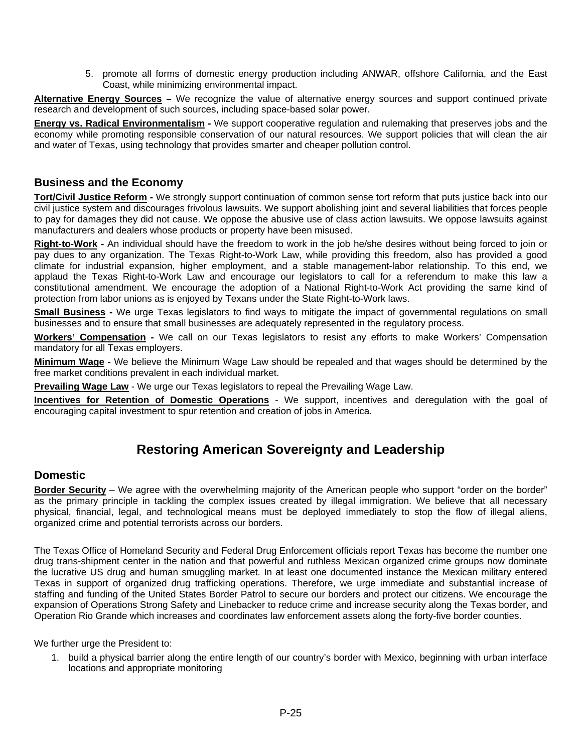5. promote all forms of domestic energy production including ANWAR, offshore California, and the East Coast, while minimizing environmental impact.

<span id="page-24-0"></span>**Alternative Energy Sources –** We recognize the value of alternative energy sources and support continued private research and development of such sources, including space-based solar power.

**Energy vs. Radical Environmentalism -** We support cooperative regulation and rulemaking that preserves jobs and the economy while promoting responsible conservation of our natural resources. We support policies that will clean the air and water of Texas, using technology that provides smarter and cheaper pollution control.

#### **Business and the Economy**

**Tort/Civil Justice Reform -** We strongly support continuation of common sense tort reform that puts justice back into our civil justice system and discourages frivolous lawsuits. We support abolishing joint and several liabilities that forces people to pay for damages they did not cause. We oppose the abusive use of class action lawsuits. We oppose lawsuits against manufacturers and dealers whose products or property have been misused.

**Right-to-Work -** An individual should have the freedom to work in the job he/she desires without being forced to join or pay dues to any organization. The Texas Right-to-Work Law, while providing this freedom, also has provided a good climate for industrial expansion, higher employment, and a stable management-labor relationship. To this end, we applaud the Texas Right-to-Work Law and encourage our legislators to call for a referendum to make this law a constitutional amendment. We encourage the adoption of a National Right-to-Work Act providing the same kind of protection from labor unions as is enjoyed by Texans under the State Right-to-Work laws.

**Small Business -** We urge Texas legislators to find ways to mitigate the impact of governmental regulations on small businesses and to ensure that small businesses are adequately represented in the regulatory process.

**Workers' Compensation -** We call on our Texas legislators to resist any efforts to make Workers' Compensation mandatory for all Texas employers.

**Minimum Wage -** We believe the Minimum Wage Law should be repealed and that wages should be determined by the free market conditions prevalent in each individual market.

**Prevailing Wage Law** - We urge our Texas legislators to repeal the Prevailing Wage Law.

**Incentives for Retention of Domestic Operations** - We support, incentives and deregulation with the goal of encouraging capital investment to spur retention and creation of jobs in America.

## **Restoring American Sovereignty and Leadership**

#### **Domestic**

**Border Security** – We agree with the overwhelming majority of the American people who support "order on the border" as the primary principle in tackling the complex issues created by illegal immigration. We believe that all necessary physical, financial, legal, and technological means must be deployed immediately to stop the flow of illegal aliens, organized crime and potential terrorists across our borders.

The Texas Office of Homeland Security and Federal Drug Enforcement officials report Texas has become the number one drug trans-shipment center in the nation and that powerful and ruthless Mexican organized crime groups now dominate the lucrative US drug and human smuggling market. In at least one documented instance the Mexican military entered Texas in support of organized drug trafficking operations. Therefore, we urge immediate and substantial increase of staffing and funding of the United States Border Patrol to secure our borders and protect our citizens. We encourage the expansion of Operations Strong Safety and Linebacker to reduce crime and increase security along the Texas border, and Operation Rio Grande which increases and coordinates law enforcement assets along the forty-five border counties.

We further urge the President to:

1. build a physical barrier along the entire length of our country's border with Mexico, beginning with urban interface locations and appropriate monitoring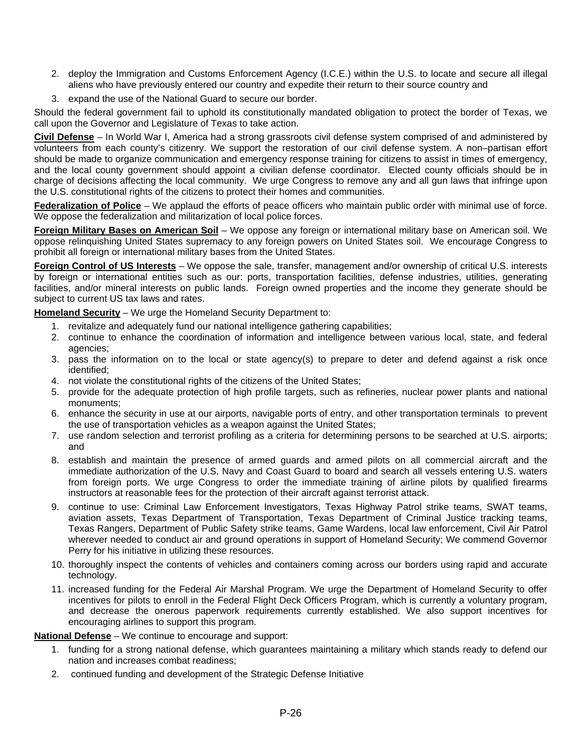- <span id="page-25-0"></span>2. deploy the Immigration and Customs Enforcement Agency (I.C.E.) within the U.S. to locate and secure all illegal aliens who have previously entered our country and expedite their return to their source country and
- 3. expand the use of the National Guard to secure our border.

Should the federal government fail to uphold its constitutionally mandated obligation to protect the border of Texas, we call upon the Governor and Legislature of Texas to take action.

**Civil Defense** – In World War I, America had a strong grassroots civil defense system comprised of and administered by volunteers from each county's citizenry. We support the restoration of our civil defense system. A non–partisan effort should be made to organize communication and emergency response training for citizens to assist in times of emergency, and the local county government should appoint a civilian defense coordinator. Elected county officials should be in charge of decisions affecting the local community. We urge Congress to remove any and all gun laws that infringe upon the U.S. constitutional rights of the citizens to protect their homes and communities.

**Federalization of Police** – We applaud the efforts of peace officers who maintain public order with minimal use of force. We oppose the federalization and militarization of local police forces.

**Foreign Military Bases on American Soil** – We oppose any foreign or international military base on American soil. We oppose relinquishing United States supremacy to any foreign powers on United States soil. We encourage Congress to prohibit all foreign or international military bases from the United States.

**Foreign Control of US Interests** – We oppose the sale, transfer, management and/or ownership of critical U.S. interests by foreign or international entities such as our: ports, transportation facilities, defense industries, utilities, generating facilities, and/or mineral interests on public lands. Foreign owned properties and the income they generate should be subject to current US tax laws and rates.

**Homeland Security** – We urge the Homeland Security Department to:

- 1. revitalize and adequately fund our national intelligence gathering capabilities;
- 2. continue to enhance the coordination of information and intelligence between various local, state, and federal agencies;
- 3. pass the information on to the local or state agency(s) to prepare to deter and defend against a risk once identified;
- 4. not violate the constitutional rights of the citizens of the United States;
- 5. provide for the adequate protection of high profile targets, such as refineries, nuclear power plants and national monuments;
- 6. enhance the security in use at our airports, navigable ports of entry, and other transportation terminals to prevent the use of transportation vehicles as a weapon against the United States;
- 7. use random selection and terrorist profiling as a criteria for determining persons to be searched at U.S. airports; and
- 8. establish and maintain the presence of armed guards and armed pilots on all commercial aircraft and the immediate authorization of the U.S. Navy and Coast Guard to board and search all vessels entering U.S. waters from foreign ports. We urge Congress to order the immediate training of airline pilots by qualified firearms instructors at reasonable fees for the protection of their aircraft against terrorist attack.
- 9. continue to use: Criminal Law Enforcement Investigators, Texas Highway Patrol strike teams, SWAT teams, aviation assets, Texas Department of Transportation, Texas Department of Criminal Justice tracking teams, Texas Rangers, Department of Public Safety strike teams, Game Wardens, local law enforcement, Civil Air Patrol wherever needed to conduct air and ground operations in support of Homeland Security; We commend Governor Perry for his initiative in utilizing these resources.
- 10. thoroughly inspect the contents of vehicles and containers coming across our borders using rapid and accurate technology.
- 11. increased funding for the Federal Air Marshal Program. We urge the Department of Homeland Security to offer incentives for pilots to enroll in the Federal Flight Deck Officers Program, which is currently a voluntary program, and decrease the onerous paperwork requirements currently established. We also support incentives for encouraging airlines to support this program.

**National Defense** – We continue to encourage and support:

- 1. funding for a strong national defense, which guarantees maintaining a military which stands ready to defend our nation and increases combat readiness;
- 2. continued funding and development of the Strategic Defense Initiative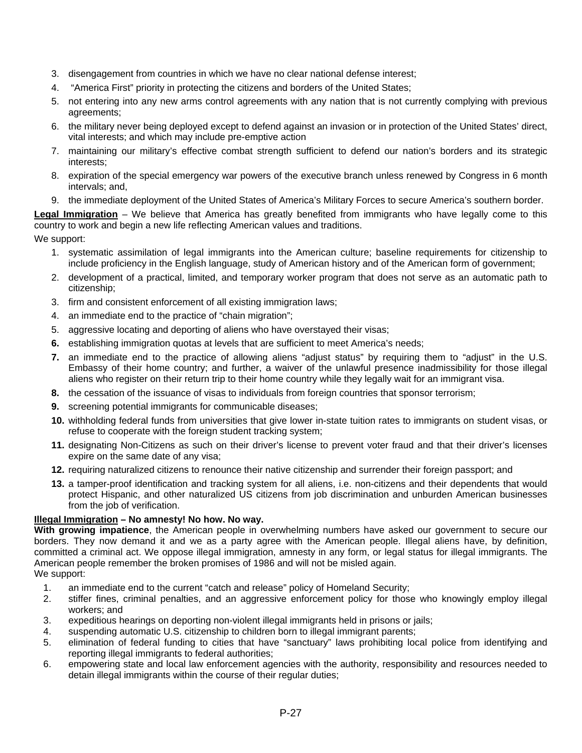- <span id="page-26-0"></span>3. disengagement from countries in which we have no clear national defense interest;
- 4. "America First" priority in protecting the citizens and borders of the United States;
- 5. not entering into any new arms control agreements with any nation that is not currently complying with previous agreements;
- 6. the military never being deployed except to defend against an invasion or in protection of the United States' direct, vital interests; and which may include pre-emptive action
- 7. maintaining our military's effective combat strength sufficient to defend our nation's borders and its strategic interests;
- 8. expiration of the special emergency war powers of the executive branch unless renewed by Congress in 6 month intervals; and,
- 9. the immediate deployment of the United States of America's Military Forces to secure America's southern border.

**Legal Immigration** – We believe that America has greatly benefited from immigrants who have legally come to this country to work and begin a new life reflecting American values and traditions.

We support:

- 1. systematic assimilation of legal immigrants into the American culture; baseline requirements for citizenship to include proficiency in the English language, study of American history and of the American form of government;
- 2. development of a practical, limited, and temporary worker program that does not serve as an automatic path to citizenship;
- 3. firm and consistent enforcement of all existing immigration laws;
- 4. an immediate end to the practice of "chain migration";
- 5. aggressive locating and deporting of aliens who have overstayed their visas;
- **6.** establishing immigration quotas at levels that are sufficient to meet America's needs;
- **7.** an immediate end to the practice of allowing aliens "adjust status" by requiring them to "adjust" in the U.S. Embassy of their home country; and further, a waiver of the unlawful presence inadmissibility for those illegal aliens who register on their return trip to their home country while they legally wait for an immigrant visa.
- **8.** the cessation of the issuance of visas to individuals from foreign countries that sponsor terrorism;
- **9.** screening potential immigrants for communicable diseases;
- **10.** withholding federal funds from universities that give lower in-state tuition rates to immigrants on student visas, or refuse to cooperate with the foreign student tracking system;
- **11.** designating Non-Citizens as such on their driver's license to prevent voter fraud and that their driver's licenses expire on the same date of any visa;
- **12.** requiring naturalized citizens to renounce their native citizenship and surrender their foreign passport; and
- **13.** a tamper-proof identification and tracking system for all aliens, i.e. non-citizens and their dependents that would protect Hispanic, and other naturalized US citizens from job discrimination and unburden American businesses from the job of verification.

#### **Illegal Immigration – No amnesty! No how. No way.**

**With growing impatience**, the American people in overwhelming numbers have asked our government to secure our borders. They now demand it and we as a party agree with the American people. Illegal aliens have, by definition, committed a criminal act. We oppose illegal immigration, amnesty in any form, or legal status for illegal immigrants. The American people remember the broken promises of 1986 and will not be misled again.

We support:

- 1. an immediate end to the current "catch and release" policy of Homeland Security;
- 2. stiffer fines, criminal penalties, and an aggressive enforcement policy for those who knowingly employ illegal workers; and
- 3. expeditious hearings on deporting non-violent illegal immigrants held in prisons or jails;
- 4. suspending automatic U.S. citizenship to children born to illegal immigrant parents;
- 5. elimination of federal funding to cities that have "sanctuary" laws prohibiting local police from identifying and reporting illegal immigrants to federal authorities;
- 6. empowering state and local law enforcement agencies with the authority, responsibility and resources needed to detain illegal immigrants within the course of their regular duties;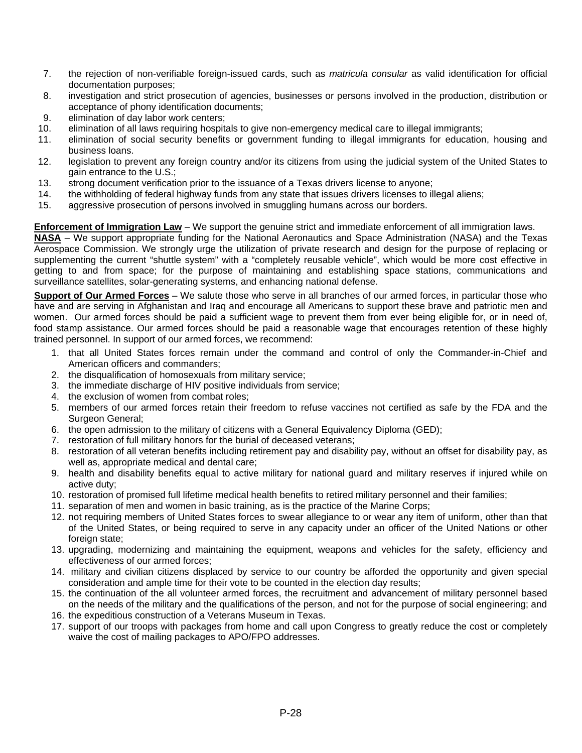- <span id="page-27-0"></span>7. the rejection of non-verifiable foreign-issued cards, such as *matricula consular* as valid identification for official documentation purposes;
- 8. investigation and strict prosecution of agencies, businesses or persons involved in the production, distribution or acceptance of phony identification documents;
- 9. elimination of day labor work centers;
- 10. elimination of all laws requiring hospitals to give non-emergency medical care to illegal immigrants;
- 11. elimination of social security benefits or government funding to illegal immigrants for education, housing and business loans.
- 12. legislation to prevent any foreign country and/or its citizens from using the judicial system of the United States to gain entrance to the U.S.;
- 13. strong document verification prior to the issuance of a Texas drivers license to anyone;
- 14. the withholding of federal highway funds from any state that issues drivers licenses to illegal aliens;
- 15. aggressive prosecution of persons involved in smuggling humans across our borders.

**Enforcement of Immigration Law** – We support the genuine strict and immediate enforcement of all immigration laws.

**NASA** – We support appropriate funding for the National Aeronautics and Space Administration (NASA) and the Texas Aerospace Commission. We strongly urge the utilization of private research and design for the purpose of replacing or supplementing the current "shuttle system" with a "completely reusable vehicle", which would be more cost effective in getting to and from space; for the purpose of maintaining and establishing space stations, communications and surveillance satellites, solar-generating systems, and enhancing national defense.

**Support of Our Armed Forces** – We salute those who serve in all branches of our armed forces, in particular those who have and are serving in Afghanistan and Iraq and encourage all Americans to support these brave and patriotic men and women. Our armed forces should be paid a sufficient wage to prevent them from ever being eligible for, or in need of, food stamp assistance. Our armed forces should be paid a reasonable wage that encourages retention of these highly trained personnel. In support of our armed forces, we recommend:

- 1. that all United States forces remain under the command and control of only the Commander-in-Chief and American officers and commanders;
- 2. the disqualification of homosexuals from military service;
- 3. the immediate discharge of HIV positive individuals from service;
- 4. the exclusion of women from combat roles;
- 5. members of our armed forces retain their freedom to refuse vaccines not certified as safe by the FDA and the Surgeon General;
- 6. the open admission to the military of citizens with a General Equivalency Diploma (GED);
- 7. restoration of full military honors for the burial of deceased veterans;
- 8. restoration of all veteran benefits including retirement pay and disability pay, without an offset for disability pay, as well as, appropriate medical and dental care;
- 9. health and disability benefits equal to active military for national guard and military reserves if injured while on active duty;
- 10. restoration of promised full lifetime medical health benefits to retired military personnel and their families;
- 11. separation of men and women in basic training, as is the practice of the Marine Corps;
- 12. not requiring members of United States forces to swear allegiance to or wear any item of uniform, other than that of the United States, or being required to serve in any capacity under an officer of the United Nations or other foreign state;
- 13. upgrading, modernizing and maintaining the equipment, weapons and vehicles for the safety, efficiency and effectiveness of our armed forces;
- 14. military and civilian citizens displaced by service to our country be afforded the opportunity and given special consideration and ample time for their vote to be counted in the election day results;
- 15. the continuation of the all volunteer armed forces, the recruitment and advancement of military personnel based on the needs of the military and the qualifications of the person, and not for the purpose of social engineering; and
- 16. the expeditious construction of a Veterans Museum in Texas.
- 17. support of our troops with packages from home and call upon Congress to greatly reduce the cost or completely waive the cost of mailing packages to APO/FPO addresses.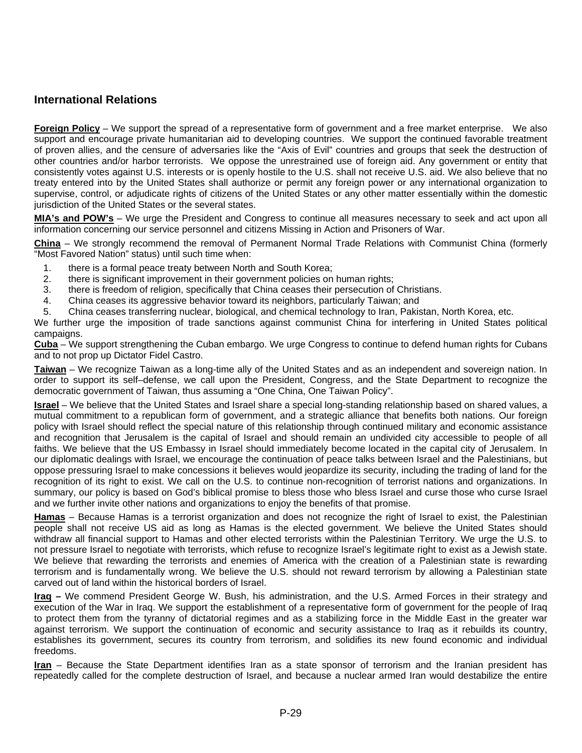### <span id="page-28-0"></span>**International Relations**

**Foreign Policy** – We support the spread of a representative form of government and a free market enterprise. We also support and encourage private humanitarian aid to developing countries. We support the continued favorable treatment of proven allies, and the censure of adversaries like the "Axis of Evil" countries and groups that seek the destruction of other countries and/or harbor terrorists. We oppose the unrestrained use of foreign aid. Any government or entity that consistently votes against U.S. interests or is openly hostile to the U.S. shall not receive U.S. aid. We also believe that no treaty entered into by the United States shall authorize or permit any foreign power or any international organization to supervise, control, or adjudicate rights of citizens of the United States or any other matter essentially within the domestic jurisdiction of the United States or the several states.

**MIA's and POW's** – We urge the President and Congress to continue all measures necessary to seek and act upon all information concerning our service personnel and citizens Missing in Action and Prisoners of War.

**China** – We strongly recommend the removal of Permanent Normal Trade Relations with Communist China (formerly "Most Favored Nation" status) until such time when:

- 1. there is a formal peace treaty between North and South Korea;
- 2. there is significant improvement in their government policies on human rights;
- 3. there is freedom of religion, specifically that China ceases their persecution of Christians.
- 4. China ceases its aggressive behavior toward its neighbors, particularly Taiwan; and
- 5. China ceases transferring nuclear, biological, and chemical technology to Iran, Pakistan, North Korea, etc.

We further urge the imposition of trade sanctions against communist China for interfering in United States political campaigns.

**Cuba** – We support strengthening the Cuban embargo. We urge Congress to continue to defend human rights for Cubans and to not prop up Dictator Fidel Castro.

**Taiwan** – We recognize Taiwan as a long-time ally of the United States and as an independent and sovereign nation. In order to support its self–defense, we call upon the President, Congress, and the State Department to recognize the democratic government of Taiwan, thus assuming a "One China, One Taiwan Policy".

**Israel** – We believe that the United States and Israel share a special long-standing relationship based on shared values, a mutual commitment to a republican form of government, and a strategic alliance that benefits both nations. Our foreign policy with Israel should reflect the special nature of this relationship through continued military and economic assistance and recognition that Jerusalem is the capital of Israel and should remain an undivided city accessible to people of all faiths. We believe that the US Embassy in Israel should immediately become located in the capital city of Jerusalem. In our diplomatic dealings with Israel, we encourage the continuation of peace talks between Israel and the Palestinians, but oppose pressuring Israel to make concessions it believes would jeopardize its security, including the trading of land for the recognition of its right to exist. We call on the U.S. to continue non-recognition of terrorist nations and organizations. In summary, our policy is based on God's biblical promise to bless those who bless Israel and curse those who curse Israel and we further invite other nations and organizations to enjoy the benefits of that promise.

**Hamas** – Because Hamas is a terrorist organization and does not recognize the right of Israel to exist, the Palestinian people shall not receive US aid as long as Hamas is the elected government. We believe the United States should withdraw all financial support to Hamas and other elected terrorists within the Palestinian Territory. We urge the U.S. to not pressure Israel to negotiate with terrorists, which refuse to recognize Israel's legitimate right to exist as a Jewish state. We believe that rewarding the terrorists and enemies of America with the creation of a Palestinian state is rewarding terrorism and is fundamentally wrong. We believe the U.S. should not reward terrorism by allowing a Palestinian state carved out of land within the historical borders of Israel.

**Iraq –** We commend President George W. Bush, his administration, and the U.S. Armed Forces in their strategy and execution of the War in Iraq. We support the establishment of a representative form of government for the people of Iraq to protect them from the tyranny of dictatorial regimes and as a stabilizing force in the Middle East in the greater war against terrorism. We support the continuation of economic and security assistance to Iraq as it rebuilds its country, establishes its government, secures its country from terrorism, and solidifies its new found economic and individual freedoms.

**Iran** – Because the State Department identifies Iran as a state sponsor of terrorism and the Iranian president has repeatedly called for the complete destruction of Israel, and because a nuclear armed Iran would destabilize the entire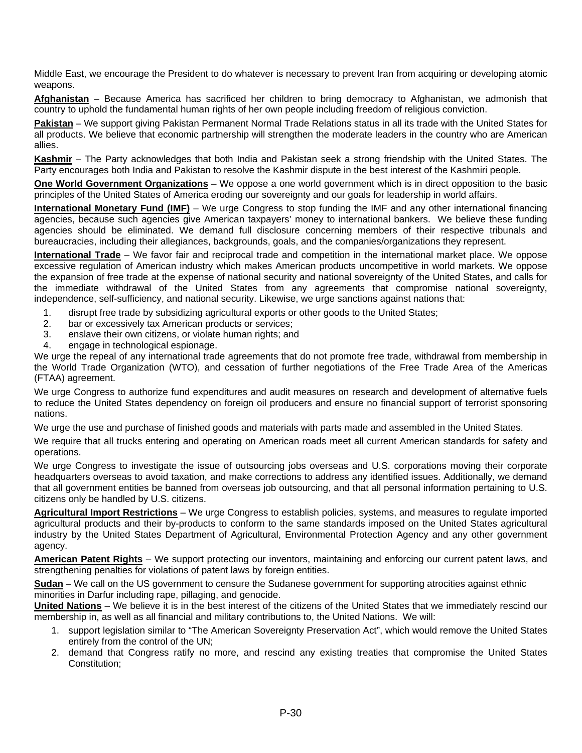<span id="page-29-0"></span>Middle East, we encourage the President to do whatever is necessary to prevent Iran from acquiring or developing atomic weapons.

**Afghanistan** – Because America has sacrificed her children to bring democracy to Afghanistan, we admonish that country to uphold the fundamental human rights of her own people including freedom of religious conviction.

**Pakistan** – We support giving Pakistan Permanent Normal Trade Relations status in all its trade with the United States for all products. We believe that economic partnership will strengthen the moderate leaders in the country who are American allies.

**Kashmir** – The Party acknowledges that both India and Pakistan seek a strong friendship with the United States. The Party encourages both India and Pakistan to resolve the Kashmir dispute in the best interest of the Kashmiri people.

**One World Government Organizations** – We oppose a one world government which is in direct opposition to the basic principles of the United States of America eroding our sovereignty and our goals for leadership in world affairs.

**International Monetary Fund (IMF)** – We urge Congress to stop funding the IMF and any other international financing agencies, because such agencies give American taxpayers' money to international bankers. We believe these funding agencies should be eliminated. We demand full disclosure concerning members of their respective tribunals and bureaucracies, including their allegiances, backgrounds, goals, and the companies/organizations they represent.

**International Trade** – We favor fair and reciprocal trade and competition in the international market place. We oppose excessive regulation of American industry which makes American products uncompetitive in world markets. We oppose the expansion of free trade at the expense of national security and national sovereignty of the United States, and calls for the immediate withdrawal of the United States from any agreements that compromise national sovereignty, independence, self-sufficiency, and national security. Likewise, we urge sanctions against nations that:

- 1. disrupt free trade by subsidizing agricultural exports or other goods to the United States;
- 2. bar or excessively tax American products or services;
- 3. enslave their own citizens, or violate human rights; and
- 4. engage in technological espionage.

We urge the repeal of any international trade agreements that do not promote free trade, withdrawal from membership in the World Trade Organization (WTO), and cessation of further negotiations of the Free Trade Area of the Americas (FTAA) agreement.

We urge Congress to authorize fund expenditures and audit measures on research and development of alternative fuels to reduce the United States dependency on foreign oil producers and ensure no financial support of terrorist sponsoring nations.

We urge the use and purchase of finished goods and materials with parts made and assembled in the United States.

We require that all trucks entering and operating on American roads meet all current American standards for safety and operations.

We urge Congress to investigate the issue of outsourcing jobs overseas and U.S. corporations moving their corporate headquarters overseas to avoid taxation, and make corrections to address any identified issues. Additionally, we demand that all government entities be banned from overseas job outsourcing, and that all personal information pertaining to U.S. citizens only be handled by U.S. citizens.

**Agricultural Import Restrictions** – We urge Congress to establish policies, systems, and measures to regulate imported agricultural products and their by-products to conform to the same standards imposed on the United States agricultural industry by the United States Department of Agricultural, Environmental Protection Agency and any other government agency.

**American Patent Rights** – We support protecting our inventors, maintaining and enforcing our current patent laws, and strengthening penalties for violations of patent laws by foreign entities.

**Sudan** – We call on the US government to censure the Sudanese government for supporting atrocities against ethnic minorities in Darfur including rape, pillaging, and genocide.

**United Nations** – We believe it is in the best interest of the citizens of the United States that we immediately rescind our membership in, as well as all financial and military contributions to, the United Nations. We will:

- 1. support legislation similar to "The American Sovereignty Preservation Act", which would remove the United States entirely from the control of the UN;
- 2. demand that Congress ratify no more, and rescind any existing treaties that compromise the United States Constitution;